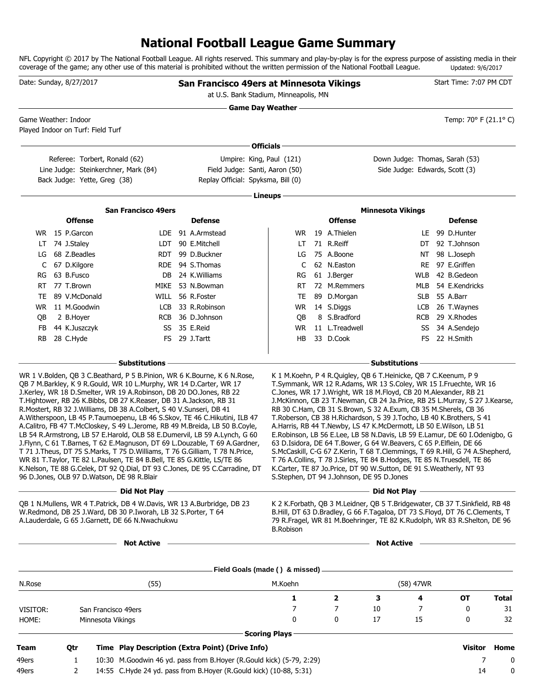# **National Football League Game Summary**

NFL Copyright © 2017 by The National Football League. All rights reserved. This summary and play-by-play is for the express purpose of assisting media in their coverage of the game; any other use of this material is prohibited without the written permission of the National Football League. Updated: 9/6/2017

|                 | Date: Sunday, 8/27/2017                                                                                                                                                                                                                                                                                                                                                                                                                                                                                                                                                                                          |                                                             | San Francisco 49ers at Minnesota Vikings<br>at U.S. Bank Stadium, Minneapolis, MN                                                                                                                                                                                                                                                                                                                                                                                                                                                                                           |                           |                             |                                                                                                                                                                                                                                                                                                                                                                                                                                                                                                                                                                                                                                                                                                                                                                                                                                                                                                                                                                                                                                                                                                                                                                                                                                                  | Start Time: 7:07 PM CDT       |              |
|-----------------|------------------------------------------------------------------------------------------------------------------------------------------------------------------------------------------------------------------------------------------------------------------------------------------------------------------------------------------------------------------------------------------------------------------------------------------------------------------------------------------------------------------------------------------------------------------------------------------------------------------|-------------------------------------------------------------|-----------------------------------------------------------------------------------------------------------------------------------------------------------------------------------------------------------------------------------------------------------------------------------------------------------------------------------------------------------------------------------------------------------------------------------------------------------------------------------------------------------------------------------------------------------------------------|---------------------------|-----------------------------|--------------------------------------------------------------------------------------------------------------------------------------------------------------------------------------------------------------------------------------------------------------------------------------------------------------------------------------------------------------------------------------------------------------------------------------------------------------------------------------------------------------------------------------------------------------------------------------------------------------------------------------------------------------------------------------------------------------------------------------------------------------------------------------------------------------------------------------------------------------------------------------------------------------------------------------------------------------------------------------------------------------------------------------------------------------------------------------------------------------------------------------------------------------------------------------------------------------------------------------------------|-------------------------------|--------------|
|                 |                                                                                                                                                                                                                                                                                                                                                                                                                                                                                                                                                                                                                  |                                                             |                                                                                                                                                                                                                                                                                                                                                                                                                                                                                                                                                                             | <b>Game Day Weather -</b> |                             |                                                                                                                                                                                                                                                                                                                                                                                                                                                                                                                                                                                                                                                                                                                                                                                                                                                                                                                                                                                                                                                                                                                                                                                                                                                  |                               |              |
|                 | Game Weather: Indoor<br>Played Indoor on Turf: Field Turf                                                                                                                                                                                                                                                                                                                                                                                                                                                                                                                                                        |                                                             |                                                                                                                                                                                                                                                                                                                                                                                                                                                                                                                                                                             |                           |                             |                                                                                                                                                                                                                                                                                                                                                                                                                                                                                                                                                                                                                                                                                                                                                                                                                                                                                                                                                                                                                                                                                                                                                                                                                                                  | Temp: 70° F (21.1° C)         |              |
|                 |                                                                                                                                                                                                                                                                                                                                                                                                                                                                                                                                                                                                                  |                                                             |                                                                                                                                                                                                                                                                                                                                                                                                                                                                                                                                                                             | <b>Officials</b>          |                             |                                                                                                                                                                                                                                                                                                                                                                                                                                                                                                                                                                                                                                                                                                                                                                                                                                                                                                                                                                                                                                                                                                                                                                                                                                                  |                               |              |
|                 | Referee: Torbert, Ronald (62)                                                                                                                                                                                                                                                                                                                                                                                                                                                                                                                                                                                    |                                                             | Umpire: King, Paul (121)                                                                                                                                                                                                                                                                                                                                                                                                                                                                                                                                                    |                           |                             | Down Judge: Thomas, Sarah (53)                                                                                                                                                                                                                                                                                                                                                                                                                                                                                                                                                                                                                                                                                                                                                                                                                                                                                                                                                                                                                                                                                                                                                                                                                   |                               |              |
|                 | Line Judge: Steinkerchner, Mark (84)                                                                                                                                                                                                                                                                                                                                                                                                                                                                                                                                                                             |                                                             | Field Judge: Santi, Aaron (50)                                                                                                                                                                                                                                                                                                                                                                                                                                                                                                                                              |                           |                             | Side Judge: Edwards, Scott (3)                                                                                                                                                                                                                                                                                                                                                                                                                                                                                                                                                                                                                                                                                                                                                                                                                                                                                                                                                                                                                                                                                                                                                                                                                   |                               |              |
|                 | Back Judge: Yette, Greg (38)                                                                                                                                                                                                                                                                                                                                                                                                                                                                                                                                                                                     |                                                             | Replay Official: Spyksma, Bill (0)                                                                                                                                                                                                                                                                                                                                                                                                                                                                                                                                          |                           |                             |                                                                                                                                                                                                                                                                                                                                                                                                                                                                                                                                                                                                                                                                                                                                                                                                                                                                                                                                                                                                                                                                                                                                                                                                                                                  |                               |              |
|                 |                                                                                                                                                                                                                                                                                                                                                                                                                                                                                                                                                                                                                  |                                                             |                                                                                                                                                                                                                                                                                                                                                                                                                                                                                                                                                                             | Lineups -                 |                             |                                                                                                                                                                                                                                                                                                                                                                                                                                                                                                                                                                                                                                                                                                                                                                                                                                                                                                                                                                                                                                                                                                                                                                                                                                                  |                               |              |
|                 |                                                                                                                                                                                                                                                                                                                                                                                                                                                                                                                                                                                                                  | <b>San Francisco 49ers</b>                                  |                                                                                                                                                                                                                                                                                                                                                                                                                                                                                                                                                                             |                           |                             | <b>Minnesota Vikings</b>                                                                                                                                                                                                                                                                                                                                                                                                                                                                                                                                                                                                                                                                                                                                                                                                                                                                                                                                                                                                                                                                                                                                                                                                                         |                               |              |
|                 | <b>Offense</b>                                                                                                                                                                                                                                                                                                                                                                                                                                                                                                                                                                                                   |                                                             | <b>Defense</b>                                                                                                                                                                                                                                                                                                                                                                                                                                                                                                                                                              |                           | <b>Offense</b>              |                                                                                                                                                                                                                                                                                                                                                                                                                                                                                                                                                                                                                                                                                                                                                                                                                                                                                                                                                                                                                                                                                                                                                                                                                                                  | <b>Defense</b>                |              |
|                 | WR 15 P.Garcon                                                                                                                                                                                                                                                                                                                                                                                                                                                                                                                                                                                                   |                                                             | LDE 91 A.Armstead                                                                                                                                                                                                                                                                                                                                                                                                                                                                                                                                                           | WR                        | 19 A.Thielen                | LE.                                                                                                                                                                                                                                                                                                                                                                                                                                                                                                                                                                                                                                                                                                                                                                                                                                                                                                                                                                                                                                                                                                                                                                                                                                              | 99 D.Hunter                   |              |
| LT              | 74 J.Staley                                                                                                                                                                                                                                                                                                                                                                                                                                                                                                                                                                                                      |                                                             | LDT 90 E.Mitchell                                                                                                                                                                                                                                                                                                                                                                                                                                                                                                                                                           | LT.                       | 71 R.Reiff                  | DT                                                                                                                                                                                                                                                                                                                                                                                                                                                                                                                                                                                                                                                                                                                                                                                                                                                                                                                                                                                                                                                                                                                                                                                                                                               | 92 T.Johnson                  |              |
| LG              | 68 Z.Beadles                                                                                                                                                                                                                                                                                                                                                                                                                                                                                                                                                                                                     | RDT                                                         | 99 D.Buckner                                                                                                                                                                                                                                                                                                                                                                                                                                                                                                                                                                | LG                        | 75 A.Boone                  | NT                                                                                                                                                                                                                                                                                                                                                                                                                                                                                                                                                                                                                                                                                                                                                                                                                                                                                                                                                                                                                                                                                                                                                                                                                                               | 98 L.Joseph                   |              |
| C               | 67 D.Kilgore                                                                                                                                                                                                                                                                                                                                                                                                                                                                                                                                                                                                     |                                                             | RDE 94 S.Thomas                                                                                                                                                                                                                                                                                                                                                                                                                                                                                                                                                             | C                         | 62 N.Easton                 | RE                                                                                                                                                                                                                                                                                                                                                                                                                                                                                                                                                                                                                                                                                                                                                                                                                                                                                                                                                                                                                                                                                                                                                                                                                                               | 97 E.Griffen                  |              |
| RG              | 63 B.Fusco                                                                                                                                                                                                                                                                                                                                                                                                                                                                                                                                                                                                       | DB                                                          | 24 K.Williams                                                                                                                                                                                                                                                                                                                                                                                                                                                                                                                                                               | RG                        | 61 J.Berger                 | <b>WLB</b>                                                                                                                                                                                                                                                                                                                                                                                                                                                                                                                                                                                                                                                                                                                                                                                                                                                                                                                                                                                                                                                                                                                                                                                                                                       | 42 B.Gedeon                   |              |
| RT              | 77 T.Brown                                                                                                                                                                                                                                                                                                                                                                                                                                                                                                                                                                                                       | MIKE                                                        | 53 N.Bowman                                                                                                                                                                                                                                                                                                                                                                                                                                                                                                                                                                 | RT                        | 72 M.Remmers                | MLB                                                                                                                                                                                                                                                                                                                                                                                                                                                                                                                                                                                                                                                                                                                                                                                                                                                                                                                                                                                                                                                                                                                                                                                                                                              | 54 E.Kendricks                |              |
| TE.             | 89 V.McDonald                                                                                                                                                                                                                                                                                                                                                                                                                                                                                                                                                                                                    | WILL                                                        | 56 R.Foster                                                                                                                                                                                                                                                                                                                                                                                                                                                                                                                                                                 | TE                        | 89 D.Morgan                 | <b>SLB</b>                                                                                                                                                                                                                                                                                                                                                                                                                                                                                                                                                                                                                                                                                                                                                                                                                                                                                                                                                                                                                                                                                                                                                                                                                                       | 55 A.Barr                     |              |
| WR.             | 11 M.Goodwin                                                                                                                                                                                                                                                                                                                                                                                                                                                                                                                                                                                                     | LCB                                                         | 33 R.Robinson                                                                                                                                                                                                                                                                                                                                                                                                                                                                                                                                                               | WR                        | 14 S.Diggs                  | LCB                                                                                                                                                                                                                                                                                                                                                                                                                                                                                                                                                                                                                                                                                                                                                                                                                                                                                                                                                                                                                                                                                                                                                                                                                                              | 26 T.Waynes                   |              |
| QB              | 2 B.Hoyer                                                                                                                                                                                                                                                                                                                                                                                                                                                                                                                                                                                                        | <b>RCB</b>                                                  | 36 D.Johnson                                                                                                                                                                                                                                                                                                                                                                                                                                                                                                                                                                | QB                        | 8 S.Bradford                | <b>RCB</b>                                                                                                                                                                                                                                                                                                                                                                                                                                                                                                                                                                                                                                                                                                                                                                                                                                                                                                                                                                                                                                                                                                                                                                                                                                       | 29 X.Rhodes                   |              |
| <b>FB</b><br>RB | 44 K.Juszczyk<br>28 C.Hyde                                                                                                                                                                                                                                                                                                                                                                                                                                                                                                                                                                                       | SS                                                          | 35 E.Reid<br>FS 29 J.Tartt                                                                                                                                                                                                                                                                                                                                                                                                                                                                                                                                                  | <b>WR</b><br>HB           | 11 L.Treadwell<br>33 D.Cook | SS                                                                                                                                                                                                                                                                                                                                                                                                                                                                                                                                                                                                                                                                                                                                                                                                                                                                                                                                                                                                                                                                                                                                                                                                                                               | 34 A.Sendejo<br>FS 22 H.Smith |              |
|                 | QB 7 M.Barkley, K 9 R.Gould, WR 10 L.Murphy, WR 14 D.Carter, WR 17<br>J.Kerley, WR 18 D.Smelter, WR 19 A.Robinson, DB 20 DO.Jones, RB 22<br>T.Hightower, RB 26 K.Bibbs, DB 27 K.Reaser, DB 31 A.Jackson, RB 31<br>R.Mostert, RB 32 J.Williams, DB 38 A.Colbert, S 40 V.Sunseri, DB 41<br>WR 81 T. Taylor, TE 82 L. Paulsen, TE 84 B. Bell, TE 85 G. Kittle, LS/TE 86<br>96 D.Jones, OLB 97 D.Watson, DE 98 R.Blair<br>OB 1 N.Mullens, WR 4 T.Patrick, DB 4 W.Davis, WR 13 A.Burbridge, DB 23<br>W.Redmond, DB 25 J.Ward, DB 30 P.Iworah, LB 32 S.Porter, T 64<br>A.Lauderdale, G 65 J.Garnett, DE 66 N.Nwachukwu | <b>Substitutions</b><br>Did Not Plav -<br><b>Not Active</b> | WR 1 V.Bolden, QB 3 C.Beathard, P 5 B.Pinion, WR 6 K.Bourne, K 6 N.Rose,<br>A. Witherspoon, LB 45 P. Taumoepenu, LB 46 S. Skov, TE 46 C. Hikutini, ILB 47<br>A.Calitro, FB 47 T.McCloskey, S 49 L.Jerome, RB 49 M.Breida, LB 50 B.Coyle,<br>LB 54 R.Armstrong, LB 57 E.Harold, OLB 58 E.Dumervil, LB 59 A.Lynch, G 60<br>J. Flynn, C 61 T. Barnes, T 62 E. Magnuson, DT 69 L. Douzable, T 69 A. Gardner,<br>T 71 J. Theus, DT 75 S. Marks, T 75 D. Williams, T 76 G. Gilliam, T 78 N. Price,<br>K.Nelson, TE 88 G.Celek, DT 92 Q.Dial, DT 93 C.Jones, DE 95 C.Carradine, DT | <b>B.Robison</b>          |                             | <b>Substitutions</b><br>K 1 M.Koehn, P 4 R.Quigley, QB 6 T.Heinicke, QB 7 C.Keenum, P 9<br>T.Symmank, WR 12 R.Adams, WR 13 S.Coley, WR 15 I.Fruechte, WR 16<br>C.Jones, WR 17 J.Wright, WR 18 M.Floyd, CB 20 M.Alexander, RB 21<br>J.McKinnon, CB 23 T.Newman, CB 24 Ja.Price, RB 25 L.Murray, S 27 J.Kearse,<br>RB 30 C.Ham, CB 31 S.Brown, S 32 A.Exum, CB 35 M.Sherels, CB 36<br>T.Roberson, CB 38 H.Richardson, S 39 J.Tocho, LB 40 K.Brothers, S 41<br>A.Harris, RB 44 T.Newby, LS 47 K.McDermott, LB 50 E.Wilson, LB 51<br>E.Robinson, LB 56 E.Lee, LB 58 N.Davis, LB 59 E.Lamur, DE 60 I.Odenigbo, G<br>63 D.Isidora, DE 64 T.Bower, G 64 W.Beavers, C 65 P.Elflein, DE 66<br>S.McCaskill, C-G 67 Z.Kerin, T 68 T.Clemmings, T 69 R.Hill, G 74 A.Shepherd,<br>T 76 A.Collins, T 78 J.Sirles, TE 84 B.Hodges, TE 85 N.Truesdell, TE 86<br>K.Carter, IE 8/ Jo.Price, D1 90 W.Sutton, DE 91 S.Weatherly, N1 93<br>S.Stephen, DT 94 J.Johnson, DE 95 D.Jones<br>Did Not Play -<br>K 2 K.Forbath, QB 3 M.Leidner, QB 5 T.Bridgewater, CB 37 T.Sinkfield, RB 48<br>B.Hill, DT 63 D.Bradley, G 66 F.Tagaloa, DT 73 S.Floyd, DT 76 C.Clements, T<br>79 R.Fragel, WR 81 M.Boehringer, TE 82 K.Rudolph, WR 83 R.Shelton, DE 96<br><b>Not Active</b> |                               |              |
|                 |                                                                                                                                                                                                                                                                                                                                                                                                                                                                                                                                                                                                                  |                                                             |                                                                                                                                                                                                                                                                                                                                                                                                                                                                                                                                                                             |                           |                             |                                                                                                                                                                                                                                                                                                                                                                                                                                                                                                                                                                                                                                                                                                                                                                                                                                                                                                                                                                                                                                                                                                                                                                                                                                                  |                               |              |
|                 |                                                                                                                                                                                                                                                                                                                                                                                                                                                                                                                                                                                                                  |                                                             |                                                                                                                                                                                                                                                                                                                                                                                                                                                                                                                                                                             |                           |                             |                                                                                                                                                                                                                                                                                                                                                                                                                                                                                                                                                                                                                                                                                                                                                                                                                                                                                                                                                                                                                                                                                                                                                                                                                                                  |                               |              |
| N.Rose          |                                                                                                                                                                                                                                                                                                                                                                                                                                                                                                                                                                                                                  | (55)                                                        |                                                                                                                                                                                                                                                                                                                                                                                                                                                                                                                                                                             | M.Koehn                   |                             | (58) 47WR                                                                                                                                                                                                                                                                                                                                                                                                                                                                                                                                                                                                                                                                                                                                                                                                                                                                                                                                                                                                                                                                                                                                                                                                                                        |                               |              |
|                 |                                                                                                                                                                                                                                                                                                                                                                                                                                                                                                                                                                                                                  |                                                             |                                                                                                                                                                                                                                                                                                                                                                                                                                                                                                                                                                             | 1                         | 2                           | 3<br>4                                                                                                                                                                                                                                                                                                                                                                                                                                                                                                                                                                                                                                                                                                                                                                                                                                                                                                                                                                                                                                                                                                                                                                                                                                           | OT                            | <b>Total</b> |
| VISITOR:        | San Francisco 49ers                                                                                                                                                                                                                                                                                                                                                                                                                                                                                                                                                                                              |                                                             |                                                                                                                                                                                                                                                                                                                                                                                                                                                                                                                                                                             | 7                         | 7                           | 10<br>7                                                                                                                                                                                                                                                                                                                                                                                                                                                                                                                                                                                                                                                                                                                                                                                                                                                                                                                                                                                                                                                                                                                                                                                                                                          | 0                             | 31           |
| HOME:           | Minnesota Vikings                                                                                                                                                                                                                                                                                                                                                                                                                                                                                                                                                                                                |                                                             |                                                                                                                                                                                                                                                                                                                                                                                                                                                                                                                                                                             | 0                         | 0                           | 17<br>15                                                                                                                                                                                                                                                                                                                                                                                                                                                                                                                                                                                                                                                                                                                                                                                                                                                                                                                                                                                                                                                                                                                                                                                                                                         | 0                             | 32           |
|                 |                                                                                                                                                                                                                                                                                                                                                                                                                                                                                                                                                                                                                  |                                                             |                                                                                                                                                                                                                                                                                                                                                                                                                                                                                                                                                                             | - Scoring Plays -         |                             |                                                                                                                                                                                                                                                                                                                                                                                                                                                                                                                                                                                                                                                                                                                                                                                                                                                                                                                                                                                                                                                                                                                                                                                                                                                  |                               |              |
| Team            | Qtr                                                                                                                                                                                                                                                                                                                                                                                                                                                                                                                                                                                                              |                                                             | Time Play Description (Extra Point) (Drive Info)                                                                                                                                                                                                                                                                                                                                                                                                                                                                                                                            |                           |                             |                                                                                                                                                                                                                                                                                                                                                                                                                                                                                                                                                                                                                                                                                                                                                                                                                                                                                                                                                                                                                                                                                                                                                                                                                                                  | Visitor                       | Home         |
| 49ers           | 1                                                                                                                                                                                                                                                                                                                                                                                                                                                                                                                                                                                                                |                                                             | 10:30 M.Goodwin 46 yd. pass from B.Hoyer (R.Gould kick) (5-79, 2:29)                                                                                                                                                                                                                                                                                                                                                                                                                                                                                                        |                           |                             |                                                                                                                                                                                                                                                                                                                                                                                                                                                                                                                                                                                                                                                                                                                                                                                                                                                                                                                                                                                                                                                                                                                                                                                                                                                  | 7                             | 0            |
| 49ers           | 2                                                                                                                                                                                                                                                                                                                                                                                                                                                                                                                                                                                                                |                                                             | 14:55 C.Hyde 24 yd. pass from B.Hoyer (R.Gould kick) (10-88, 5:31)                                                                                                                                                                                                                                                                                                                                                                                                                                                                                                          |                           |                             |                                                                                                                                                                                                                                                                                                                                                                                                                                                                                                                                                                                                                                                                                                                                                                                                                                                                                                                                                                                                                                                                                                                                                                                                                                                  | 14                            | 0            |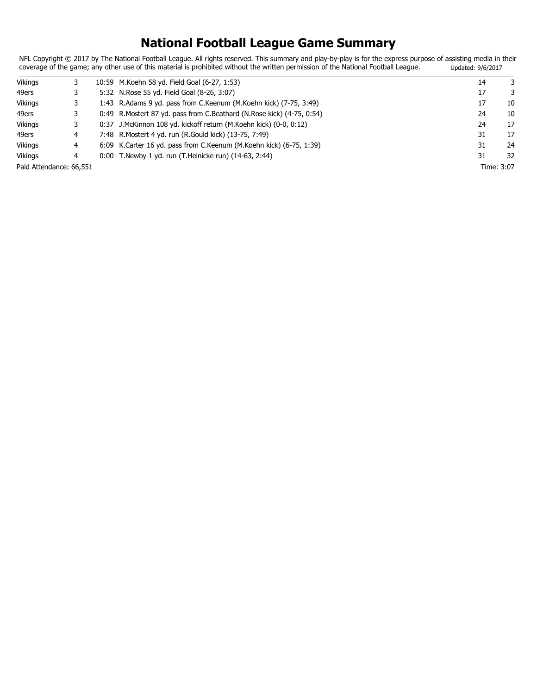# **National Football League Game Summary**

NFL Copyright © 2017 by The National Football League. All rights reserved. This summary and play-by-play is for the express purpose of assisting media in their coverage of the game; any other use of this material is prohibited without the written permission of the National Football League. Updated: 9/6/2017

| <b>Vikings</b>          |   | 10:59 M.Koehn 58 yd. Field Goal (6-27, 1:53)                           | 14 | 3          |
|-------------------------|---|------------------------------------------------------------------------|----|------------|
| 49ers                   |   | 5:32 N. Rose 55 yd. Field Goal (8-26, 3:07)                            | 17 | 3          |
| <b>Vikings</b>          |   | 1:43 R.Adams 9 yd. pass from C.Keenum (M.Koehn kick) (7-75, 3:49)      | 17 | 10         |
| 49ers                   |   | 0:49 R.Mostert 87 yd. pass from C.Beathard (N.Rose kick) (4-75, 0:54)  | 24 | 10         |
| Vikings                 |   | 0:37 J.McKinnon 108 yd. kickoff return (M.Koehn kick) (0-0, 0:12)      | 24 | 17         |
| 49ers                   | 4 | 7:48 R. Mostert 4 yd. run (R. Gould kick) (13-75, 7:49)                | 31 | 17         |
| Vikings                 | 4 | 6:09 K. Carter 16 yd. pass from C. Keenum (M. Koehn kick) (6-75, 1:39) | 31 | 24         |
| Vikings                 | 4 | 0:00 T. Newby 1 yd. run (T. Heinicke run) (14-63, 2:44)                | 31 | 32         |
| Paid Attendance: 66,551 |   |                                                                        |    | Time: 3:07 |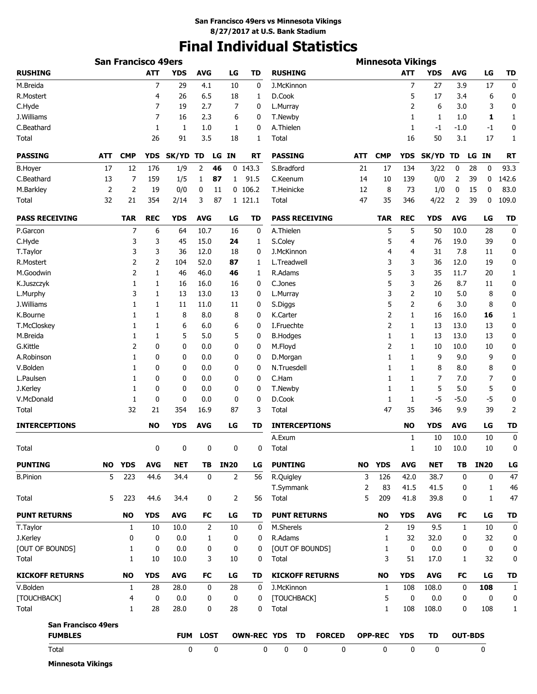# **Final Individual Statistics**

| <b>RUSHING</b><br><b>ATT</b><br><b>YDS</b><br><b>AVG</b><br><b>TD</b><br><b>RUSHING</b><br><b>ATT</b><br><b>AVG</b><br>LG<br><b>TD</b><br>LG<br><b>YDS</b><br>7<br>$\overline{7}$<br>$\bf{0}$<br>M.Breida<br>29<br>0<br>J.McKinnon<br>27<br>3.9<br>17<br>4.1<br>10<br>R.Mostert<br>26<br>6.5<br>D.Cook<br>5<br>17<br>6<br>0<br>4<br>18<br>3.4<br>1<br>0<br>C.Hyde<br>7<br>7<br>2<br>6<br>19<br>2.7<br>0<br>L.Murray<br>3.0<br>3<br>J.Williams<br>7<br>16<br>2.3<br>1<br>6<br>0<br>T.Newby<br>1<br>1<br>1.0<br>1<br>C.Beathard<br>A.Thielen<br>0<br>1<br>1<br>1.0<br>0<br>1<br>-1.0<br>1<br>-1<br>-1<br>26<br>91<br>3.5<br>50<br>17<br>1<br>Total<br>18<br>Total<br>16<br>3.1<br>1<br><b>PASSING</b><br><b>PASSING</b><br><b>CMP</b><br>ATT<br><b>CMP</b><br><b>YDS</b><br>SK/YD TD<br>LG IN<br>RT<br>ATT<br><b>YDS</b><br><b>SK/YD</b><br>LG IN<br><b>RT</b><br>TD<br>12<br>2<br>$0$ 143.3<br>S.Bradford<br>93.3<br><b>B.Hoyer</b><br>17<br>176<br>1/9<br>46<br>21<br>17<br>134<br>3/22<br>0<br>28<br>0<br>142.6<br>C.Beathard<br>7<br>159<br>1/5<br>91.5<br>C.Keenum<br>139<br>2<br>39<br>0<br>13<br>1<br>87<br>14<br>10<br>0/0<br>$\mathbf{1}$<br>$\overline{2}$<br>$\overline{2}$<br>83.0<br>M.Barkley<br>0/0<br>$0$ 106.2<br>T.Heinicke<br>12<br>73<br>0<br>19<br>0<br>11<br>8<br>1/0<br>15<br>0<br>109.0<br>32<br>21<br>354<br>3<br>87<br>47<br>4/22<br>2<br>39<br>Total<br>2/14<br>1 121.1<br>Total<br>35<br>346<br>0<br><b>PASS RECEIVING</b><br><b>REC</b><br><b>AVG</b><br><b>PASS RECEIVING</b><br><b>REC</b><br><b>AVG</b><br><b>TD</b><br><b>TAR</b><br><b>YDS</b><br>LG<br>TD<br><b>TAR</b><br><b>YDS</b><br>LG<br>7<br>6<br>64<br>10.7<br>16<br>0<br>A.Thielen<br>5<br>5<br>50<br>10.0<br>28<br>0<br>P.Garcon<br>C.Hyde<br>3<br>3<br>45<br>15.0<br>S.Coley<br>5<br>4<br>76<br>19.0<br>39<br>0<br>24<br>1<br>3<br>3<br>36<br>12.0<br>18<br>J.McKinnon<br>4<br>31<br>7.8<br>0<br>T.Taylor<br>0<br>4<br>11<br>2<br>2<br>104<br>52.0<br>87<br>L.Treadwell<br>3<br>3<br>36<br>12.0<br>19<br>0<br>R.Mostert<br>1<br>5<br>M.Goodwin<br>2<br>46<br>46.0<br>46<br>R.Adams<br>3<br>35<br>11.7<br>20<br>1<br>1<br>1<br>5<br>16.0<br>C.Jones<br>3<br>26<br>8.7<br>0<br>K.Juszczyk<br>1<br>1<br>16<br>16<br>0<br>11<br>3<br>3<br>0<br>13<br>13.0<br>13<br>2<br>10<br>5.0<br>8<br>L.Murphy<br>1<br>0<br>L.Murray<br>5<br>0<br>J.Williams<br>2<br>6<br>3.0<br>8<br>1<br>1<br>11<br>11.0<br>11<br>0<br>S.Diggs<br>2<br>8<br>8.0<br>8<br>K.Carter<br>16<br>16.0<br>16<br>1<br>K.Bourne<br>1<br>1<br>0<br>1<br>T.McCloskey<br>6.0<br>I.Fruechte<br>2<br>13<br>13.0<br>13<br>0<br>1<br>1<br>6<br>6<br>0<br>1<br>M.Breida<br>5<br>5.0<br>5<br><b>B.Hodges</b><br>13<br>13.0<br>13<br>0<br>1<br>1<br>0<br>1<br>1<br>G.Kittle<br>2<br>0<br>0<br>0.0<br>M.Floyd<br>2<br>10<br>10.0<br>10<br>0<br>0<br>0<br>1<br>0<br>A.Robinson<br>0.0<br>9<br>9.0<br>9<br>1<br>0<br>0<br>0<br>D.Morgan<br>1<br>1<br>0<br>V.Bolden<br>0<br>0.0<br>N.Truesdell<br>8<br>8.0<br>8<br>0<br>1<br>0<br>0<br>0<br>1<br>1<br>0<br>L.Paulsen<br>0<br>0.0<br>C.Ham<br>7<br>7.0<br>7<br>1<br>0<br>0<br>1<br>1<br>0<br>J.Kerley<br>0<br>0.0<br>T.Newby<br>5<br>5.0<br>5<br>0<br>1<br>0<br>0<br>1<br>1<br>0<br>$-5$<br>V.McDonald<br>1<br>0<br>0<br>0.0<br>D.Cook<br>$-5$<br>$-5.0$<br>0<br>0<br>0<br>1<br>1<br>2<br>32<br>21<br>354<br>16.9<br>87<br>3<br>47<br>35<br>346<br>9.9<br>39<br>Total<br>Total<br><b>TD</b><br><b>INTERCEPTIONS</b><br><b>NO</b><br><b>YDS</b><br><b>AVG</b><br>LG<br><b>TD</b><br><b>INTERCEPTIONS</b><br><b>NO</b><br><b>YDS</b><br><b>AVG</b><br>LG<br>A.Exum<br>10<br>10.0<br>10<br>0<br>1<br>10<br>10.0<br>10<br><b>Total</b><br>0<br>0<br>0<br>0<br>$\mathbf{0}$<br>Total<br>1<br><b>PUNTING</b><br>NO YDS<br><b>AVG</b><br><b>NET</b><br><b>IN20</b><br><b>PUNTING</b><br><b>YDS</b><br><b>AVG</b><br><b>NET</b><br>TB<br><b>IN20</b><br>TВ<br>LG<br>NO –<br>$\overline{2}$<br>5<br>223<br>44.6<br>34.4<br>$\mathbf 0$<br>3<br>126<br>42.0<br>38.7<br>$\mathbf 0$<br>0<br><b>B.Pinion</b><br>56<br>R.Quigley<br>T.Symmank<br>2<br>83<br>41.5<br>41.5<br>0<br>1<br>5<br>5<br>223<br>34.4<br>0<br>2<br>56<br>Total<br>209<br>41.8<br>39.8<br>0<br>$\mathbf{1}$<br>44.6<br>Total<br><b>YDS</b><br><b>PUNT RETURNS</b><br><b>YDS</b><br><b>AVG</b><br>LG<br><b>PUNT RETURNS</b><br><b>NO</b><br><b>AVG</b><br>FC<br>LG<br>TD<br><b>NO</b><br>FC<br>10<br>$\overline{2}$<br>M.Sherels<br>2<br>9.5<br>T.Taylor<br>1<br>10.0<br>10<br>0<br>19<br>1<br>10<br>R.Adams<br>J.Kerley<br>0<br>$\mathbf{0}$<br>0.0<br>0<br>32<br>32.0<br>32<br>1<br>0<br>1<br>0<br>[OUT OF BOUNDS]<br>0.0<br>[OUT OF BOUNDS]<br>0<br>0.0<br>0<br>1<br>0<br>0<br>0<br>0<br>1<br>0<br>3<br>Total<br>1<br>10<br>10.0<br>3<br>10<br>0<br>Total<br>51<br>17.0<br>1<br>32<br><b>KICKOFF RETURNS</b><br><b>NO</b><br><b>YDS</b><br><b>AVG</b><br>FC<br>LG<br><b>TD</b><br><b>KICKOFF RETURNS</b><br><b>NO</b><br><b>YDS</b><br><b>AVG</b><br>FC<br>LG<br>V.Bolden<br>28<br>28.0<br>0<br>28<br>0<br>J.McKinnon<br>108<br>108.0<br>0<br>108<br>1<br>1<br>0<br>[TOUCHBACK]<br>5<br>$\bf{0}$<br>[TOUCHBACK]<br>0.0<br>0<br>0.0<br>0<br>0<br>4<br>0<br>0<br>$\mathbf{1}$<br>28<br>28.0<br>0<br>0<br>Total<br>$\mathbf{1}$<br>108<br>108.0<br>0<br>108<br>Total<br>28<br><b>San Francisco 49ers</b><br><b>FUMBLES</b><br><b>LOST</b><br><b>OWN-REC YDS</b><br>TD<br><b>FORCED</b><br><b>OPP-REC</b><br><b>YDS</b><br>TD<br><b>OUT-BDS</b><br><b>FUM</b><br>0<br>0<br>$\mathbf 0$<br>$\mathbf 0$<br>0<br>0<br>Total<br>0<br>0<br>0<br>0 |  | <b>San Francisco 49ers</b> |  |  |  | <b>Minnesota Vikings</b> |  |  |              |
|-----------------------------------------------------------------------------------------------------------------------------------------------------------------------------------------------------------------------------------------------------------------------------------------------------------------------------------------------------------------------------------------------------------------------------------------------------------------------------------------------------------------------------------------------------------------------------------------------------------------------------------------------------------------------------------------------------------------------------------------------------------------------------------------------------------------------------------------------------------------------------------------------------------------------------------------------------------------------------------------------------------------------------------------------------------------------------------------------------------------------------------------------------------------------------------------------------------------------------------------------------------------------------------------------------------------------------------------------------------------------------------------------------------------------------------------------------------------------------------------------------------------------------------------------------------------------------------------------------------------------------------------------------------------------------------------------------------------------------------------------------------------------------------------------------------------------------------------------------------------------------------------------------------------------------------------------------------------------------------------------------------------------------------------------------------------------------------------------------------------------------------------------------------------------------------------------------------------------------------------------------------------------------------------------------------------------------------------------------------------------------------------------------------------------------------------------------------------------------------------------------------------------------------------------------------------------------------------------------------------------------------------------------------------------------------------------------------------------------------------------------------------------------------------------------------------------------------------------------------------------------------------------------------------------------------------------------------------------------------------------------------------------------------------------------------------------------------------------------------------------------------------------------------------------------------------------------------------------------------------------------------------------------------------------------------------------------------------------------------------------------------------------------------------------------------------------------------------------------------------------------------------------------------------------------------------------------------------------------------------------------------------------------------------------------------------------------------------------------------------------------------------------------------------------------------------------------------------------------------------------------------------------------------------------------------------------------------------------------------------------------------------------------------------------------------------------------------------------------------------------------------------------------------------------------------------------------------------------------------------------------------------------------------------------------------------------------------------------------------------------------------------------------------------------------------------------------------------------------------------------------------------------------------------------------------------------------------------------------------------------------------------------------------------------------------------------------------------------------------------------------------------------------------------------------------------------------------------------------------------------------------------------------------------------------------------------------------------------------------------------------------------------------------------------------------------------------------------------------------------------------------------------------------------------------------------------------------------------------------------------------------------------------------------------------------------------------------------------------------------------------------------------------------------------------------------------------------------------------------------|--|----------------------------|--|--|--|--------------------------|--|--|--------------|
|                                                                                                                                                                                                                                                                                                                                                                                                                                                                                                                                                                                                                                                                                                                                                                                                                                                                                                                                                                                                                                                                                                                                                                                                                                                                                                                                                                                                                                                                                                                                                                                                                                                                                                                                                                                                                                                                                                                                                                                                                                                                                                                                                                                                                                                                                                                                                                                                                                                                                                                                                                                                                                                                                                                                                                                                                                                                                                                                                                                                                                                                                                                                                                                                                                                                                                                                                                                                                                                                                                                                                                                                                                                                                                                                                                                                                                                                                                                                                                                                                                                                                                                                                                                                                                                                                                                                                                                                                                                                                                                                                                                                                                                                                                                                                                                                                                                                                                                                                                                                                                                                                                                                                                                                                                                                                                                                                                                                                                                                                         |  |                            |  |  |  |                          |  |  |              |
|                                                                                                                                                                                                                                                                                                                                                                                                                                                                                                                                                                                                                                                                                                                                                                                                                                                                                                                                                                                                                                                                                                                                                                                                                                                                                                                                                                                                                                                                                                                                                                                                                                                                                                                                                                                                                                                                                                                                                                                                                                                                                                                                                                                                                                                                                                                                                                                                                                                                                                                                                                                                                                                                                                                                                                                                                                                                                                                                                                                                                                                                                                                                                                                                                                                                                                                                                                                                                                                                                                                                                                                                                                                                                                                                                                                                                                                                                                                                                                                                                                                                                                                                                                                                                                                                                                                                                                                                                                                                                                                                                                                                                                                                                                                                                                                                                                                                                                                                                                                                                                                                                                                                                                                                                                                                                                                                                                                                                                                                                         |  |                            |  |  |  |                          |  |  |              |
|                                                                                                                                                                                                                                                                                                                                                                                                                                                                                                                                                                                                                                                                                                                                                                                                                                                                                                                                                                                                                                                                                                                                                                                                                                                                                                                                                                                                                                                                                                                                                                                                                                                                                                                                                                                                                                                                                                                                                                                                                                                                                                                                                                                                                                                                                                                                                                                                                                                                                                                                                                                                                                                                                                                                                                                                                                                                                                                                                                                                                                                                                                                                                                                                                                                                                                                                                                                                                                                                                                                                                                                                                                                                                                                                                                                                                                                                                                                                                                                                                                                                                                                                                                                                                                                                                                                                                                                                                                                                                                                                                                                                                                                                                                                                                                                                                                                                                                                                                                                                                                                                                                                                                                                                                                                                                                                                                                                                                                                                                         |  |                            |  |  |  |                          |  |  |              |
|                                                                                                                                                                                                                                                                                                                                                                                                                                                                                                                                                                                                                                                                                                                                                                                                                                                                                                                                                                                                                                                                                                                                                                                                                                                                                                                                                                                                                                                                                                                                                                                                                                                                                                                                                                                                                                                                                                                                                                                                                                                                                                                                                                                                                                                                                                                                                                                                                                                                                                                                                                                                                                                                                                                                                                                                                                                                                                                                                                                                                                                                                                                                                                                                                                                                                                                                                                                                                                                                                                                                                                                                                                                                                                                                                                                                                                                                                                                                                                                                                                                                                                                                                                                                                                                                                                                                                                                                                                                                                                                                                                                                                                                                                                                                                                                                                                                                                                                                                                                                                                                                                                                                                                                                                                                                                                                                                                                                                                                                                         |  |                            |  |  |  |                          |  |  |              |
|                                                                                                                                                                                                                                                                                                                                                                                                                                                                                                                                                                                                                                                                                                                                                                                                                                                                                                                                                                                                                                                                                                                                                                                                                                                                                                                                                                                                                                                                                                                                                                                                                                                                                                                                                                                                                                                                                                                                                                                                                                                                                                                                                                                                                                                                                                                                                                                                                                                                                                                                                                                                                                                                                                                                                                                                                                                                                                                                                                                                                                                                                                                                                                                                                                                                                                                                                                                                                                                                                                                                                                                                                                                                                                                                                                                                                                                                                                                                                                                                                                                                                                                                                                                                                                                                                                                                                                                                                                                                                                                                                                                                                                                                                                                                                                                                                                                                                                                                                                                                                                                                                                                                                                                                                                                                                                                                                                                                                                                                                         |  |                            |  |  |  |                          |  |  |              |
|                                                                                                                                                                                                                                                                                                                                                                                                                                                                                                                                                                                                                                                                                                                                                                                                                                                                                                                                                                                                                                                                                                                                                                                                                                                                                                                                                                                                                                                                                                                                                                                                                                                                                                                                                                                                                                                                                                                                                                                                                                                                                                                                                                                                                                                                                                                                                                                                                                                                                                                                                                                                                                                                                                                                                                                                                                                                                                                                                                                                                                                                                                                                                                                                                                                                                                                                                                                                                                                                                                                                                                                                                                                                                                                                                                                                                                                                                                                                                                                                                                                                                                                                                                                                                                                                                                                                                                                                                                                                                                                                                                                                                                                                                                                                                                                                                                                                                                                                                                                                                                                                                                                                                                                                                                                                                                                                                                                                                                                                                         |  |                            |  |  |  |                          |  |  |              |
|                                                                                                                                                                                                                                                                                                                                                                                                                                                                                                                                                                                                                                                                                                                                                                                                                                                                                                                                                                                                                                                                                                                                                                                                                                                                                                                                                                                                                                                                                                                                                                                                                                                                                                                                                                                                                                                                                                                                                                                                                                                                                                                                                                                                                                                                                                                                                                                                                                                                                                                                                                                                                                                                                                                                                                                                                                                                                                                                                                                                                                                                                                                                                                                                                                                                                                                                                                                                                                                                                                                                                                                                                                                                                                                                                                                                                                                                                                                                                                                                                                                                                                                                                                                                                                                                                                                                                                                                                                                                                                                                                                                                                                                                                                                                                                                                                                                                                                                                                                                                                                                                                                                                                                                                                                                                                                                                                                                                                                                                                         |  |                            |  |  |  |                          |  |  |              |
|                                                                                                                                                                                                                                                                                                                                                                                                                                                                                                                                                                                                                                                                                                                                                                                                                                                                                                                                                                                                                                                                                                                                                                                                                                                                                                                                                                                                                                                                                                                                                                                                                                                                                                                                                                                                                                                                                                                                                                                                                                                                                                                                                                                                                                                                                                                                                                                                                                                                                                                                                                                                                                                                                                                                                                                                                                                                                                                                                                                                                                                                                                                                                                                                                                                                                                                                                                                                                                                                                                                                                                                                                                                                                                                                                                                                                                                                                                                                                                                                                                                                                                                                                                                                                                                                                                                                                                                                                                                                                                                                                                                                                                                                                                                                                                                                                                                                                                                                                                                                                                                                                                                                                                                                                                                                                                                                                                                                                                                                                         |  |                            |  |  |  |                          |  |  |              |
|                                                                                                                                                                                                                                                                                                                                                                                                                                                                                                                                                                                                                                                                                                                                                                                                                                                                                                                                                                                                                                                                                                                                                                                                                                                                                                                                                                                                                                                                                                                                                                                                                                                                                                                                                                                                                                                                                                                                                                                                                                                                                                                                                                                                                                                                                                                                                                                                                                                                                                                                                                                                                                                                                                                                                                                                                                                                                                                                                                                                                                                                                                                                                                                                                                                                                                                                                                                                                                                                                                                                                                                                                                                                                                                                                                                                                                                                                                                                                                                                                                                                                                                                                                                                                                                                                                                                                                                                                                                                                                                                                                                                                                                                                                                                                                                                                                                                                                                                                                                                                                                                                                                                                                                                                                                                                                                                                                                                                                                                                         |  |                            |  |  |  |                          |  |  |              |
|                                                                                                                                                                                                                                                                                                                                                                                                                                                                                                                                                                                                                                                                                                                                                                                                                                                                                                                                                                                                                                                                                                                                                                                                                                                                                                                                                                                                                                                                                                                                                                                                                                                                                                                                                                                                                                                                                                                                                                                                                                                                                                                                                                                                                                                                                                                                                                                                                                                                                                                                                                                                                                                                                                                                                                                                                                                                                                                                                                                                                                                                                                                                                                                                                                                                                                                                                                                                                                                                                                                                                                                                                                                                                                                                                                                                                                                                                                                                                                                                                                                                                                                                                                                                                                                                                                                                                                                                                                                                                                                                                                                                                                                                                                                                                                                                                                                                                                                                                                                                                                                                                                                                                                                                                                                                                                                                                                                                                                                                                         |  |                            |  |  |  |                          |  |  |              |
|                                                                                                                                                                                                                                                                                                                                                                                                                                                                                                                                                                                                                                                                                                                                                                                                                                                                                                                                                                                                                                                                                                                                                                                                                                                                                                                                                                                                                                                                                                                                                                                                                                                                                                                                                                                                                                                                                                                                                                                                                                                                                                                                                                                                                                                                                                                                                                                                                                                                                                                                                                                                                                                                                                                                                                                                                                                                                                                                                                                                                                                                                                                                                                                                                                                                                                                                                                                                                                                                                                                                                                                                                                                                                                                                                                                                                                                                                                                                                                                                                                                                                                                                                                                                                                                                                                                                                                                                                                                                                                                                                                                                                                                                                                                                                                                                                                                                                                                                                                                                                                                                                                                                                                                                                                                                                                                                                                                                                                                                                         |  |                            |  |  |  |                          |  |  |              |
|                                                                                                                                                                                                                                                                                                                                                                                                                                                                                                                                                                                                                                                                                                                                                                                                                                                                                                                                                                                                                                                                                                                                                                                                                                                                                                                                                                                                                                                                                                                                                                                                                                                                                                                                                                                                                                                                                                                                                                                                                                                                                                                                                                                                                                                                                                                                                                                                                                                                                                                                                                                                                                                                                                                                                                                                                                                                                                                                                                                                                                                                                                                                                                                                                                                                                                                                                                                                                                                                                                                                                                                                                                                                                                                                                                                                                                                                                                                                                                                                                                                                                                                                                                                                                                                                                                                                                                                                                                                                                                                                                                                                                                                                                                                                                                                                                                                                                                                                                                                                                                                                                                                                                                                                                                                                                                                                                                                                                                                                                         |  |                            |  |  |  |                          |  |  |              |
|                                                                                                                                                                                                                                                                                                                                                                                                                                                                                                                                                                                                                                                                                                                                                                                                                                                                                                                                                                                                                                                                                                                                                                                                                                                                                                                                                                                                                                                                                                                                                                                                                                                                                                                                                                                                                                                                                                                                                                                                                                                                                                                                                                                                                                                                                                                                                                                                                                                                                                                                                                                                                                                                                                                                                                                                                                                                                                                                                                                                                                                                                                                                                                                                                                                                                                                                                                                                                                                                                                                                                                                                                                                                                                                                                                                                                                                                                                                                                                                                                                                                                                                                                                                                                                                                                                                                                                                                                                                                                                                                                                                                                                                                                                                                                                                                                                                                                                                                                                                                                                                                                                                                                                                                                                                                                                                                                                                                                                                                                         |  |                            |  |  |  |                          |  |  |              |
|                                                                                                                                                                                                                                                                                                                                                                                                                                                                                                                                                                                                                                                                                                                                                                                                                                                                                                                                                                                                                                                                                                                                                                                                                                                                                                                                                                                                                                                                                                                                                                                                                                                                                                                                                                                                                                                                                                                                                                                                                                                                                                                                                                                                                                                                                                                                                                                                                                                                                                                                                                                                                                                                                                                                                                                                                                                                                                                                                                                                                                                                                                                                                                                                                                                                                                                                                                                                                                                                                                                                                                                                                                                                                                                                                                                                                                                                                                                                                                                                                                                                                                                                                                                                                                                                                                                                                                                                                                                                                                                                                                                                                                                                                                                                                                                                                                                                                                                                                                                                                                                                                                                                                                                                                                                                                                                                                                                                                                                                                         |  |                            |  |  |  |                          |  |  |              |
|                                                                                                                                                                                                                                                                                                                                                                                                                                                                                                                                                                                                                                                                                                                                                                                                                                                                                                                                                                                                                                                                                                                                                                                                                                                                                                                                                                                                                                                                                                                                                                                                                                                                                                                                                                                                                                                                                                                                                                                                                                                                                                                                                                                                                                                                                                                                                                                                                                                                                                                                                                                                                                                                                                                                                                                                                                                                                                                                                                                                                                                                                                                                                                                                                                                                                                                                                                                                                                                                                                                                                                                                                                                                                                                                                                                                                                                                                                                                                                                                                                                                                                                                                                                                                                                                                                                                                                                                                                                                                                                                                                                                                                                                                                                                                                                                                                                                                                                                                                                                                                                                                                                                                                                                                                                                                                                                                                                                                                                                                         |  |                            |  |  |  |                          |  |  |              |
|                                                                                                                                                                                                                                                                                                                                                                                                                                                                                                                                                                                                                                                                                                                                                                                                                                                                                                                                                                                                                                                                                                                                                                                                                                                                                                                                                                                                                                                                                                                                                                                                                                                                                                                                                                                                                                                                                                                                                                                                                                                                                                                                                                                                                                                                                                                                                                                                                                                                                                                                                                                                                                                                                                                                                                                                                                                                                                                                                                                                                                                                                                                                                                                                                                                                                                                                                                                                                                                                                                                                                                                                                                                                                                                                                                                                                                                                                                                                                                                                                                                                                                                                                                                                                                                                                                                                                                                                                                                                                                                                                                                                                                                                                                                                                                                                                                                                                                                                                                                                                                                                                                                                                                                                                                                                                                                                                                                                                                                                                         |  |                            |  |  |  |                          |  |  |              |
|                                                                                                                                                                                                                                                                                                                                                                                                                                                                                                                                                                                                                                                                                                                                                                                                                                                                                                                                                                                                                                                                                                                                                                                                                                                                                                                                                                                                                                                                                                                                                                                                                                                                                                                                                                                                                                                                                                                                                                                                                                                                                                                                                                                                                                                                                                                                                                                                                                                                                                                                                                                                                                                                                                                                                                                                                                                                                                                                                                                                                                                                                                                                                                                                                                                                                                                                                                                                                                                                                                                                                                                                                                                                                                                                                                                                                                                                                                                                                                                                                                                                                                                                                                                                                                                                                                                                                                                                                                                                                                                                                                                                                                                                                                                                                                                                                                                                                                                                                                                                                                                                                                                                                                                                                                                                                                                                                                                                                                                                                         |  |                            |  |  |  |                          |  |  |              |
|                                                                                                                                                                                                                                                                                                                                                                                                                                                                                                                                                                                                                                                                                                                                                                                                                                                                                                                                                                                                                                                                                                                                                                                                                                                                                                                                                                                                                                                                                                                                                                                                                                                                                                                                                                                                                                                                                                                                                                                                                                                                                                                                                                                                                                                                                                                                                                                                                                                                                                                                                                                                                                                                                                                                                                                                                                                                                                                                                                                                                                                                                                                                                                                                                                                                                                                                                                                                                                                                                                                                                                                                                                                                                                                                                                                                                                                                                                                                                                                                                                                                                                                                                                                                                                                                                                                                                                                                                                                                                                                                                                                                                                                                                                                                                                                                                                                                                                                                                                                                                                                                                                                                                                                                                                                                                                                                                                                                                                                                                         |  |                            |  |  |  |                          |  |  |              |
|                                                                                                                                                                                                                                                                                                                                                                                                                                                                                                                                                                                                                                                                                                                                                                                                                                                                                                                                                                                                                                                                                                                                                                                                                                                                                                                                                                                                                                                                                                                                                                                                                                                                                                                                                                                                                                                                                                                                                                                                                                                                                                                                                                                                                                                                                                                                                                                                                                                                                                                                                                                                                                                                                                                                                                                                                                                                                                                                                                                                                                                                                                                                                                                                                                                                                                                                                                                                                                                                                                                                                                                                                                                                                                                                                                                                                                                                                                                                                                                                                                                                                                                                                                                                                                                                                                                                                                                                                                                                                                                                                                                                                                                                                                                                                                                                                                                                                                                                                                                                                                                                                                                                                                                                                                                                                                                                                                                                                                                                                         |  |                            |  |  |  |                          |  |  |              |
|                                                                                                                                                                                                                                                                                                                                                                                                                                                                                                                                                                                                                                                                                                                                                                                                                                                                                                                                                                                                                                                                                                                                                                                                                                                                                                                                                                                                                                                                                                                                                                                                                                                                                                                                                                                                                                                                                                                                                                                                                                                                                                                                                                                                                                                                                                                                                                                                                                                                                                                                                                                                                                                                                                                                                                                                                                                                                                                                                                                                                                                                                                                                                                                                                                                                                                                                                                                                                                                                                                                                                                                                                                                                                                                                                                                                                                                                                                                                                                                                                                                                                                                                                                                                                                                                                                                                                                                                                                                                                                                                                                                                                                                                                                                                                                                                                                                                                                                                                                                                                                                                                                                                                                                                                                                                                                                                                                                                                                                                                         |  |                            |  |  |  |                          |  |  |              |
|                                                                                                                                                                                                                                                                                                                                                                                                                                                                                                                                                                                                                                                                                                                                                                                                                                                                                                                                                                                                                                                                                                                                                                                                                                                                                                                                                                                                                                                                                                                                                                                                                                                                                                                                                                                                                                                                                                                                                                                                                                                                                                                                                                                                                                                                                                                                                                                                                                                                                                                                                                                                                                                                                                                                                                                                                                                                                                                                                                                                                                                                                                                                                                                                                                                                                                                                                                                                                                                                                                                                                                                                                                                                                                                                                                                                                                                                                                                                                                                                                                                                                                                                                                                                                                                                                                                                                                                                                                                                                                                                                                                                                                                                                                                                                                                                                                                                                                                                                                                                                                                                                                                                                                                                                                                                                                                                                                                                                                                                                         |  |                            |  |  |  |                          |  |  |              |
|                                                                                                                                                                                                                                                                                                                                                                                                                                                                                                                                                                                                                                                                                                                                                                                                                                                                                                                                                                                                                                                                                                                                                                                                                                                                                                                                                                                                                                                                                                                                                                                                                                                                                                                                                                                                                                                                                                                                                                                                                                                                                                                                                                                                                                                                                                                                                                                                                                                                                                                                                                                                                                                                                                                                                                                                                                                                                                                                                                                                                                                                                                                                                                                                                                                                                                                                                                                                                                                                                                                                                                                                                                                                                                                                                                                                                                                                                                                                                                                                                                                                                                                                                                                                                                                                                                                                                                                                                                                                                                                                                                                                                                                                                                                                                                                                                                                                                                                                                                                                                                                                                                                                                                                                                                                                                                                                                                                                                                                                                         |  |                            |  |  |  |                          |  |  |              |
|                                                                                                                                                                                                                                                                                                                                                                                                                                                                                                                                                                                                                                                                                                                                                                                                                                                                                                                                                                                                                                                                                                                                                                                                                                                                                                                                                                                                                                                                                                                                                                                                                                                                                                                                                                                                                                                                                                                                                                                                                                                                                                                                                                                                                                                                                                                                                                                                                                                                                                                                                                                                                                                                                                                                                                                                                                                                                                                                                                                                                                                                                                                                                                                                                                                                                                                                                                                                                                                                                                                                                                                                                                                                                                                                                                                                                                                                                                                                                                                                                                                                                                                                                                                                                                                                                                                                                                                                                                                                                                                                                                                                                                                                                                                                                                                                                                                                                                                                                                                                                                                                                                                                                                                                                                                                                                                                                                                                                                                                                         |  |                            |  |  |  |                          |  |  |              |
|                                                                                                                                                                                                                                                                                                                                                                                                                                                                                                                                                                                                                                                                                                                                                                                                                                                                                                                                                                                                                                                                                                                                                                                                                                                                                                                                                                                                                                                                                                                                                                                                                                                                                                                                                                                                                                                                                                                                                                                                                                                                                                                                                                                                                                                                                                                                                                                                                                                                                                                                                                                                                                                                                                                                                                                                                                                                                                                                                                                                                                                                                                                                                                                                                                                                                                                                                                                                                                                                                                                                                                                                                                                                                                                                                                                                                                                                                                                                                                                                                                                                                                                                                                                                                                                                                                                                                                                                                                                                                                                                                                                                                                                                                                                                                                                                                                                                                                                                                                                                                                                                                                                                                                                                                                                                                                                                                                                                                                                                                         |  |                            |  |  |  |                          |  |  |              |
|                                                                                                                                                                                                                                                                                                                                                                                                                                                                                                                                                                                                                                                                                                                                                                                                                                                                                                                                                                                                                                                                                                                                                                                                                                                                                                                                                                                                                                                                                                                                                                                                                                                                                                                                                                                                                                                                                                                                                                                                                                                                                                                                                                                                                                                                                                                                                                                                                                                                                                                                                                                                                                                                                                                                                                                                                                                                                                                                                                                                                                                                                                                                                                                                                                                                                                                                                                                                                                                                                                                                                                                                                                                                                                                                                                                                                                                                                                                                                                                                                                                                                                                                                                                                                                                                                                                                                                                                                                                                                                                                                                                                                                                                                                                                                                                                                                                                                                                                                                                                                                                                                                                                                                                                                                                                                                                                                                                                                                                                                         |  |                            |  |  |  |                          |  |  |              |
|                                                                                                                                                                                                                                                                                                                                                                                                                                                                                                                                                                                                                                                                                                                                                                                                                                                                                                                                                                                                                                                                                                                                                                                                                                                                                                                                                                                                                                                                                                                                                                                                                                                                                                                                                                                                                                                                                                                                                                                                                                                                                                                                                                                                                                                                                                                                                                                                                                                                                                                                                                                                                                                                                                                                                                                                                                                                                                                                                                                                                                                                                                                                                                                                                                                                                                                                                                                                                                                                                                                                                                                                                                                                                                                                                                                                                                                                                                                                                                                                                                                                                                                                                                                                                                                                                                                                                                                                                                                                                                                                                                                                                                                                                                                                                                                                                                                                                                                                                                                                                                                                                                                                                                                                                                                                                                                                                                                                                                                                                         |  |                            |  |  |  |                          |  |  |              |
|                                                                                                                                                                                                                                                                                                                                                                                                                                                                                                                                                                                                                                                                                                                                                                                                                                                                                                                                                                                                                                                                                                                                                                                                                                                                                                                                                                                                                                                                                                                                                                                                                                                                                                                                                                                                                                                                                                                                                                                                                                                                                                                                                                                                                                                                                                                                                                                                                                                                                                                                                                                                                                                                                                                                                                                                                                                                                                                                                                                                                                                                                                                                                                                                                                                                                                                                                                                                                                                                                                                                                                                                                                                                                                                                                                                                                                                                                                                                                                                                                                                                                                                                                                                                                                                                                                                                                                                                                                                                                                                                                                                                                                                                                                                                                                                                                                                                                                                                                                                                                                                                                                                                                                                                                                                                                                                                                                                                                                                                                         |  |                            |  |  |  |                          |  |  |              |
|                                                                                                                                                                                                                                                                                                                                                                                                                                                                                                                                                                                                                                                                                                                                                                                                                                                                                                                                                                                                                                                                                                                                                                                                                                                                                                                                                                                                                                                                                                                                                                                                                                                                                                                                                                                                                                                                                                                                                                                                                                                                                                                                                                                                                                                                                                                                                                                                                                                                                                                                                                                                                                                                                                                                                                                                                                                                                                                                                                                                                                                                                                                                                                                                                                                                                                                                                                                                                                                                                                                                                                                                                                                                                                                                                                                                                                                                                                                                                                                                                                                                                                                                                                                                                                                                                                                                                                                                                                                                                                                                                                                                                                                                                                                                                                                                                                                                                                                                                                                                                                                                                                                                                                                                                                                                                                                                                                                                                                                                                         |  |                            |  |  |  |                          |  |  |              |
|                                                                                                                                                                                                                                                                                                                                                                                                                                                                                                                                                                                                                                                                                                                                                                                                                                                                                                                                                                                                                                                                                                                                                                                                                                                                                                                                                                                                                                                                                                                                                                                                                                                                                                                                                                                                                                                                                                                                                                                                                                                                                                                                                                                                                                                                                                                                                                                                                                                                                                                                                                                                                                                                                                                                                                                                                                                                                                                                                                                                                                                                                                                                                                                                                                                                                                                                                                                                                                                                                                                                                                                                                                                                                                                                                                                                                                                                                                                                                                                                                                                                                                                                                                                                                                                                                                                                                                                                                                                                                                                                                                                                                                                                                                                                                                                                                                                                                                                                                                                                                                                                                                                                                                                                                                                                                                                                                                                                                                                                                         |  |                            |  |  |  |                          |  |  |              |
|                                                                                                                                                                                                                                                                                                                                                                                                                                                                                                                                                                                                                                                                                                                                                                                                                                                                                                                                                                                                                                                                                                                                                                                                                                                                                                                                                                                                                                                                                                                                                                                                                                                                                                                                                                                                                                                                                                                                                                                                                                                                                                                                                                                                                                                                                                                                                                                                                                                                                                                                                                                                                                                                                                                                                                                                                                                                                                                                                                                                                                                                                                                                                                                                                                                                                                                                                                                                                                                                                                                                                                                                                                                                                                                                                                                                                                                                                                                                                                                                                                                                                                                                                                                                                                                                                                                                                                                                                                                                                                                                                                                                                                                                                                                                                                                                                                                                                                                                                                                                                                                                                                                                                                                                                                                                                                                                                                                                                                                                                         |  |                            |  |  |  |                          |  |  |              |
|                                                                                                                                                                                                                                                                                                                                                                                                                                                                                                                                                                                                                                                                                                                                                                                                                                                                                                                                                                                                                                                                                                                                                                                                                                                                                                                                                                                                                                                                                                                                                                                                                                                                                                                                                                                                                                                                                                                                                                                                                                                                                                                                                                                                                                                                                                                                                                                                                                                                                                                                                                                                                                                                                                                                                                                                                                                                                                                                                                                                                                                                                                                                                                                                                                                                                                                                                                                                                                                                                                                                                                                                                                                                                                                                                                                                                                                                                                                                                                                                                                                                                                                                                                                                                                                                                                                                                                                                                                                                                                                                                                                                                                                                                                                                                                                                                                                                                                                                                                                                                                                                                                                                                                                                                                                                                                                                                                                                                                                                                         |  |                            |  |  |  |                          |  |  |              |
|                                                                                                                                                                                                                                                                                                                                                                                                                                                                                                                                                                                                                                                                                                                                                                                                                                                                                                                                                                                                                                                                                                                                                                                                                                                                                                                                                                                                                                                                                                                                                                                                                                                                                                                                                                                                                                                                                                                                                                                                                                                                                                                                                                                                                                                                                                                                                                                                                                                                                                                                                                                                                                                                                                                                                                                                                                                                                                                                                                                                                                                                                                                                                                                                                                                                                                                                                                                                                                                                                                                                                                                                                                                                                                                                                                                                                                                                                                                                                                                                                                                                                                                                                                                                                                                                                                                                                                                                                                                                                                                                                                                                                                                                                                                                                                                                                                                                                                                                                                                                                                                                                                                                                                                                                                                                                                                                                                                                                                                                                         |  |                            |  |  |  |                          |  |  |              |
|                                                                                                                                                                                                                                                                                                                                                                                                                                                                                                                                                                                                                                                                                                                                                                                                                                                                                                                                                                                                                                                                                                                                                                                                                                                                                                                                                                                                                                                                                                                                                                                                                                                                                                                                                                                                                                                                                                                                                                                                                                                                                                                                                                                                                                                                                                                                                                                                                                                                                                                                                                                                                                                                                                                                                                                                                                                                                                                                                                                                                                                                                                                                                                                                                                                                                                                                                                                                                                                                                                                                                                                                                                                                                                                                                                                                                                                                                                                                                                                                                                                                                                                                                                                                                                                                                                                                                                                                                                                                                                                                                                                                                                                                                                                                                                                                                                                                                                                                                                                                                                                                                                                                                                                                                                                                                                                                                                                                                                                                                         |  |                            |  |  |  |                          |  |  |              |
|                                                                                                                                                                                                                                                                                                                                                                                                                                                                                                                                                                                                                                                                                                                                                                                                                                                                                                                                                                                                                                                                                                                                                                                                                                                                                                                                                                                                                                                                                                                                                                                                                                                                                                                                                                                                                                                                                                                                                                                                                                                                                                                                                                                                                                                                                                                                                                                                                                                                                                                                                                                                                                                                                                                                                                                                                                                                                                                                                                                                                                                                                                                                                                                                                                                                                                                                                                                                                                                                                                                                                                                                                                                                                                                                                                                                                                                                                                                                                                                                                                                                                                                                                                                                                                                                                                                                                                                                                                                                                                                                                                                                                                                                                                                                                                                                                                                                                                                                                                                                                                                                                                                                                                                                                                                                                                                                                                                                                                                                                         |  |                            |  |  |  |                          |  |  |              |
|                                                                                                                                                                                                                                                                                                                                                                                                                                                                                                                                                                                                                                                                                                                                                                                                                                                                                                                                                                                                                                                                                                                                                                                                                                                                                                                                                                                                                                                                                                                                                                                                                                                                                                                                                                                                                                                                                                                                                                                                                                                                                                                                                                                                                                                                                                                                                                                                                                                                                                                                                                                                                                                                                                                                                                                                                                                                                                                                                                                                                                                                                                                                                                                                                                                                                                                                                                                                                                                                                                                                                                                                                                                                                                                                                                                                                                                                                                                                                                                                                                                                                                                                                                                                                                                                                                                                                                                                                                                                                                                                                                                                                                                                                                                                                                                                                                                                                                                                                                                                                                                                                                                                                                                                                                                                                                                                                                                                                                                                                         |  |                            |  |  |  |                          |  |  | 0            |
|                                                                                                                                                                                                                                                                                                                                                                                                                                                                                                                                                                                                                                                                                                                                                                                                                                                                                                                                                                                                                                                                                                                                                                                                                                                                                                                                                                                                                                                                                                                                                                                                                                                                                                                                                                                                                                                                                                                                                                                                                                                                                                                                                                                                                                                                                                                                                                                                                                                                                                                                                                                                                                                                                                                                                                                                                                                                                                                                                                                                                                                                                                                                                                                                                                                                                                                                                                                                                                                                                                                                                                                                                                                                                                                                                                                                                                                                                                                                                                                                                                                                                                                                                                                                                                                                                                                                                                                                                                                                                                                                                                                                                                                                                                                                                                                                                                                                                                                                                                                                                                                                                                                                                                                                                                                                                                                                                                                                                                                                                         |  |                            |  |  |  |                          |  |  | LG           |
|                                                                                                                                                                                                                                                                                                                                                                                                                                                                                                                                                                                                                                                                                                                                                                                                                                                                                                                                                                                                                                                                                                                                                                                                                                                                                                                                                                                                                                                                                                                                                                                                                                                                                                                                                                                                                                                                                                                                                                                                                                                                                                                                                                                                                                                                                                                                                                                                                                                                                                                                                                                                                                                                                                                                                                                                                                                                                                                                                                                                                                                                                                                                                                                                                                                                                                                                                                                                                                                                                                                                                                                                                                                                                                                                                                                                                                                                                                                                                                                                                                                                                                                                                                                                                                                                                                                                                                                                                                                                                                                                                                                                                                                                                                                                                                                                                                                                                                                                                                                                                                                                                                                                                                                                                                                                                                                                                                                                                                                                                         |  |                            |  |  |  |                          |  |  | 47           |
|                                                                                                                                                                                                                                                                                                                                                                                                                                                                                                                                                                                                                                                                                                                                                                                                                                                                                                                                                                                                                                                                                                                                                                                                                                                                                                                                                                                                                                                                                                                                                                                                                                                                                                                                                                                                                                                                                                                                                                                                                                                                                                                                                                                                                                                                                                                                                                                                                                                                                                                                                                                                                                                                                                                                                                                                                                                                                                                                                                                                                                                                                                                                                                                                                                                                                                                                                                                                                                                                                                                                                                                                                                                                                                                                                                                                                                                                                                                                                                                                                                                                                                                                                                                                                                                                                                                                                                                                                                                                                                                                                                                                                                                                                                                                                                                                                                                                                                                                                                                                                                                                                                                                                                                                                                                                                                                                                                                                                                                                                         |  |                            |  |  |  |                          |  |  | 46           |
|                                                                                                                                                                                                                                                                                                                                                                                                                                                                                                                                                                                                                                                                                                                                                                                                                                                                                                                                                                                                                                                                                                                                                                                                                                                                                                                                                                                                                                                                                                                                                                                                                                                                                                                                                                                                                                                                                                                                                                                                                                                                                                                                                                                                                                                                                                                                                                                                                                                                                                                                                                                                                                                                                                                                                                                                                                                                                                                                                                                                                                                                                                                                                                                                                                                                                                                                                                                                                                                                                                                                                                                                                                                                                                                                                                                                                                                                                                                                                                                                                                                                                                                                                                                                                                                                                                                                                                                                                                                                                                                                                                                                                                                                                                                                                                                                                                                                                                                                                                                                                                                                                                                                                                                                                                                                                                                                                                                                                                                                                         |  |                            |  |  |  |                          |  |  | 47           |
|                                                                                                                                                                                                                                                                                                                                                                                                                                                                                                                                                                                                                                                                                                                                                                                                                                                                                                                                                                                                                                                                                                                                                                                                                                                                                                                                                                                                                                                                                                                                                                                                                                                                                                                                                                                                                                                                                                                                                                                                                                                                                                                                                                                                                                                                                                                                                                                                                                                                                                                                                                                                                                                                                                                                                                                                                                                                                                                                                                                                                                                                                                                                                                                                                                                                                                                                                                                                                                                                                                                                                                                                                                                                                                                                                                                                                                                                                                                                                                                                                                                                                                                                                                                                                                                                                                                                                                                                                                                                                                                                                                                                                                                                                                                                                                                                                                                                                                                                                                                                                                                                                                                                                                                                                                                                                                                                                                                                                                                                                         |  |                            |  |  |  |                          |  |  | TD           |
|                                                                                                                                                                                                                                                                                                                                                                                                                                                                                                                                                                                                                                                                                                                                                                                                                                                                                                                                                                                                                                                                                                                                                                                                                                                                                                                                                                                                                                                                                                                                                                                                                                                                                                                                                                                                                                                                                                                                                                                                                                                                                                                                                                                                                                                                                                                                                                                                                                                                                                                                                                                                                                                                                                                                                                                                                                                                                                                                                                                                                                                                                                                                                                                                                                                                                                                                                                                                                                                                                                                                                                                                                                                                                                                                                                                                                                                                                                                                                                                                                                                                                                                                                                                                                                                                                                                                                                                                                                                                                                                                                                                                                                                                                                                                                                                                                                                                                                                                                                                                                                                                                                                                                                                                                                                                                                                                                                                                                                                                                         |  |                            |  |  |  |                          |  |  | 0            |
|                                                                                                                                                                                                                                                                                                                                                                                                                                                                                                                                                                                                                                                                                                                                                                                                                                                                                                                                                                                                                                                                                                                                                                                                                                                                                                                                                                                                                                                                                                                                                                                                                                                                                                                                                                                                                                                                                                                                                                                                                                                                                                                                                                                                                                                                                                                                                                                                                                                                                                                                                                                                                                                                                                                                                                                                                                                                                                                                                                                                                                                                                                                                                                                                                                                                                                                                                                                                                                                                                                                                                                                                                                                                                                                                                                                                                                                                                                                                                                                                                                                                                                                                                                                                                                                                                                                                                                                                                                                                                                                                                                                                                                                                                                                                                                                                                                                                                                                                                                                                                                                                                                                                                                                                                                                                                                                                                                                                                                                                                         |  |                            |  |  |  |                          |  |  | 0            |
|                                                                                                                                                                                                                                                                                                                                                                                                                                                                                                                                                                                                                                                                                                                                                                                                                                                                                                                                                                                                                                                                                                                                                                                                                                                                                                                                                                                                                                                                                                                                                                                                                                                                                                                                                                                                                                                                                                                                                                                                                                                                                                                                                                                                                                                                                                                                                                                                                                                                                                                                                                                                                                                                                                                                                                                                                                                                                                                                                                                                                                                                                                                                                                                                                                                                                                                                                                                                                                                                                                                                                                                                                                                                                                                                                                                                                                                                                                                                                                                                                                                                                                                                                                                                                                                                                                                                                                                                                                                                                                                                                                                                                                                                                                                                                                                                                                                                                                                                                                                                                                                                                                                                                                                                                                                                                                                                                                                                                                                                                         |  |                            |  |  |  |                          |  |  | 0            |
|                                                                                                                                                                                                                                                                                                                                                                                                                                                                                                                                                                                                                                                                                                                                                                                                                                                                                                                                                                                                                                                                                                                                                                                                                                                                                                                                                                                                                                                                                                                                                                                                                                                                                                                                                                                                                                                                                                                                                                                                                                                                                                                                                                                                                                                                                                                                                                                                                                                                                                                                                                                                                                                                                                                                                                                                                                                                                                                                                                                                                                                                                                                                                                                                                                                                                                                                                                                                                                                                                                                                                                                                                                                                                                                                                                                                                                                                                                                                                                                                                                                                                                                                                                                                                                                                                                                                                                                                                                                                                                                                                                                                                                                                                                                                                                                                                                                                                                                                                                                                                                                                                                                                                                                                                                                                                                                                                                                                                                                                                         |  |                            |  |  |  |                          |  |  | 0            |
|                                                                                                                                                                                                                                                                                                                                                                                                                                                                                                                                                                                                                                                                                                                                                                                                                                                                                                                                                                                                                                                                                                                                                                                                                                                                                                                                                                                                                                                                                                                                                                                                                                                                                                                                                                                                                                                                                                                                                                                                                                                                                                                                                                                                                                                                                                                                                                                                                                                                                                                                                                                                                                                                                                                                                                                                                                                                                                                                                                                                                                                                                                                                                                                                                                                                                                                                                                                                                                                                                                                                                                                                                                                                                                                                                                                                                                                                                                                                                                                                                                                                                                                                                                                                                                                                                                                                                                                                                                                                                                                                                                                                                                                                                                                                                                                                                                                                                                                                                                                                                                                                                                                                                                                                                                                                                                                                                                                                                                                                                         |  |                            |  |  |  |                          |  |  | TD           |
|                                                                                                                                                                                                                                                                                                                                                                                                                                                                                                                                                                                                                                                                                                                                                                                                                                                                                                                                                                                                                                                                                                                                                                                                                                                                                                                                                                                                                                                                                                                                                                                                                                                                                                                                                                                                                                                                                                                                                                                                                                                                                                                                                                                                                                                                                                                                                                                                                                                                                                                                                                                                                                                                                                                                                                                                                                                                                                                                                                                                                                                                                                                                                                                                                                                                                                                                                                                                                                                                                                                                                                                                                                                                                                                                                                                                                                                                                                                                                                                                                                                                                                                                                                                                                                                                                                                                                                                                                                                                                                                                                                                                                                                                                                                                                                                                                                                                                                                                                                                                                                                                                                                                                                                                                                                                                                                                                                                                                                                                                         |  |                            |  |  |  |                          |  |  | 1            |
|                                                                                                                                                                                                                                                                                                                                                                                                                                                                                                                                                                                                                                                                                                                                                                                                                                                                                                                                                                                                                                                                                                                                                                                                                                                                                                                                                                                                                                                                                                                                                                                                                                                                                                                                                                                                                                                                                                                                                                                                                                                                                                                                                                                                                                                                                                                                                                                                                                                                                                                                                                                                                                                                                                                                                                                                                                                                                                                                                                                                                                                                                                                                                                                                                                                                                                                                                                                                                                                                                                                                                                                                                                                                                                                                                                                                                                                                                                                                                                                                                                                                                                                                                                                                                                                                                                                                                                                                                                                                                                                                                                                                                                                                                                                                                                                                                                                                                                                                                                                                                                                                                                                                                                                                                                                                                                                                                                                                                                                                                         |  |                            |  |  |  |                          |  |  | 0            |
|                                                                                                                                                                                                                                                                                                                                                                                                                                                                                                                                                                                                                                                                                                                                                                                                                                                                                                                                                                                                                                                                                                                                                                                                                                                                                                                                                                                                                                                                                                                                                                                                                                                                                                                                                                                                                                                                                                                                                                                                                                                                                                                                                                                                                                                                                                                                                                                                                                                                                                                                                                                                                                                                                                                                                                                                                                                                                                                                                                                                                                                                                                                                                                                                                                                                                                                                                                                                                                                                                                                                                                                                                                                                                                                                                                                                                                                                                                                                                                                                                                                                                                                                                                                                                                                                                                                                                                                                                                                                                                                                                                                                                                                                                                                                                                                                                                                                                                                                                                                                                                                                                                                                                                                                                                                                                                                                                                                                                                                                                         |  |                            |  |  |  |                          |  |  | $\mathbf{1}$ |
|                                                                                                                                                                                                                                                                                                                                                                                                                                                                                                                                                                                                                                                                                                                                                                                                                                                                                                                                                                                                                                                                                                                                                                                                                                                                                                                                                                                                                                                                                                                                                                                                                                                                                                                                                                                                                                                                                                                                                                                                                                                                                                                                                                                                                                                                                                                                                                                                                                                                                                                                                                                                                                                                                                                                                                                                                                                                                                                                                                                                                                                                                                                                                                                                                                                                                                                                                                                                                                                                                                                                                                                                                                                                                                                                                                                                                                                                                                                                                                                                                                                                                                                                                                                                                                                                                                                                                                                                                                                                                                                                                                                                                                                                                                                                                                                                                                                                                                                                                                                                                                                                                                                                                                                                                                                                                                                                                                                                                                                                                         |  |                            |  |  |  |                          |  |  |              |
|                                                                                                                                                                                                                                                                                                                                                                                                                                                                                                                                                                                                                                                                                                                                                                                                                                                                                                                                                                                                                                                                                                                                                                                                                                                                                                                                                                                                                                                                                                                                                                                                                                                                                                                                                                                                                                                                                                                                                                                                                                                                                                                                                                                                                                                                                                                                                                                                                                                                                                                                                                                                                                                                                                                                                                                                                                                                                                                                                                                                                                                                                                                                                                                                                                                                                                                                                                                                                                                                                                                                                                                                                                                                                                                                                                                                                                                                                                                                                                                                                                                                                                                                                                                                                                                                                                                                                                                                                                                                                                                                                                                                                                                                                                                                                                                                                                                                                                                                                                                                                                                                                                                                                                                                                                                                                                                                                                                                                                                                                         |  |                            |  |  |  |                          |  |  |              |

**Minnesota Vikings**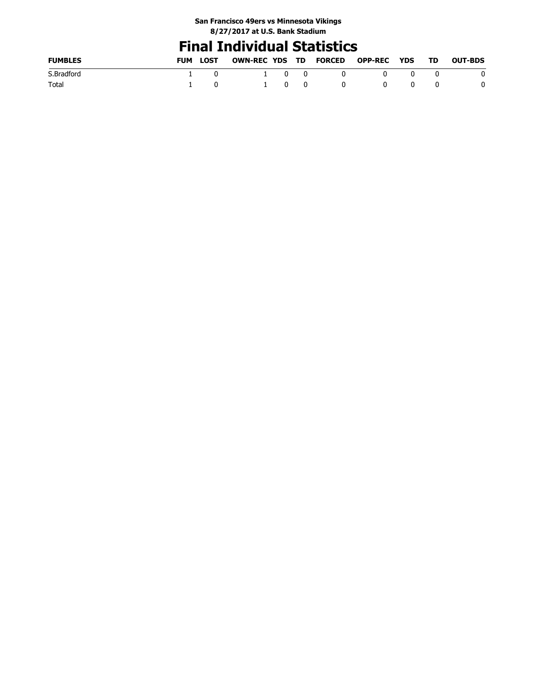### **Final Individual Statistics**

| <b>FUMBLES</b> | <b>FUM</b> | LOST | OWN-REC YDS TD FORCED |                                          |     |     | <b>OPP-REC YDS</b> |              | - TD | <b>OUT-BDS</b> |
|----------------|------------|------|-----------------------|------------------------------------------|-----|-----|--------------------|--------------|------|----------------|
| S.Bradford     |            |      |                       | $1 \quad 0$                              |     | 0   |                    | $\mathsf{n}$ |      | 0              |
| Total          |            |      |                       | $\begin{array}{ccc} & 1 & 0 \end{array}$ | - 0 | - 0 |                    | 0            |      | 0              |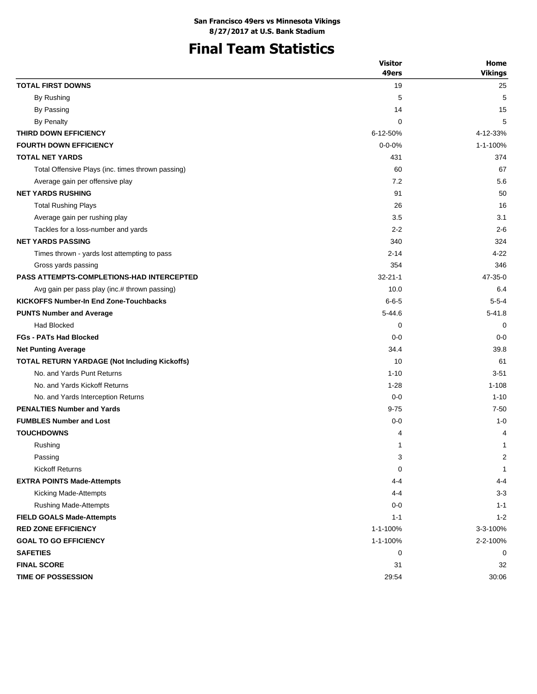# **Final Team Statistics**

|                                                   | <b>Visitor</b> | Home           |
|---------------------------------------------------|----------------|----------------|
|                                                   | 49ers          | <b>Vikings</b> |
| <b>TOTAL FIRST DOWNS</b>                          | 19             | 25             |
| By Rushing                                        | 5              | 5              |
| By Passing                                        | 14             | 15             |
| By Penalty                                        | 0              | 5              |
| THIRD DOWN EFFICIENCY                             | 6-12-50%       | 4-12-33%       |
| <b>FOURTH DOWN EFFICIENCY</b>                     | $0 - 0 - 0%$   | 1-1-100%       |
| <b>TOTAL NET YARDS</b>                            | 431            | 374            |
| Total Offensive Plays (inc. times thrown passing) | 60             | 67             |
| Average gain per offensive play                   | 7.2            | 5.6            |
| <b>NET YARDS RUSHING</b>                          | 91             | 50             |
| <b>Total Rushing Plays</b>                        | 26             | 16             |
| Average gain per rushing play                     | 3.5            | 3.1            |
| Tackles for a loss-number and yards               | $2 - 2$        | $2 - 6$        |
| <b>NET YARDS PASSING</b>                          | 340            | 324            |
| Times thrown - yards lost attempting to pass      | $2 - 14$       | $4 - 22$       |
| Gross yards passing                               | 354            | 346            |
| <b>PASS ATTEMPTS-COMPLETIONS-HAD INTERCEPTED</b>  | $32 - 21 - 1$  | 47-35-0        |
| Avg gain per pass play (inc.# thrown passing)     | 10.0           | 6.4            |
| <b>KICKOFFS Number-In End Zone-Touchbacks</b>     | $6 - 6 - 5$    | $5 - 5 - 4$    |
| <b>PUNTS Number and Average</b>                   | $5 - 44.6$     | $5 - 41.8$     |
| <b>Had Blocked</b>                                | 0              | 0              |
| <b>FGs - PATs Had Blocked</b>                     | $0 - 0$        | $0 - 0$        |
| <b>Net Punting Average</b>                        | 34.4           | 39.8           |
| TOTAL RETURN YARDAGE (Not Including Kickoffs)     | 10             | 61             |
| No. and Yards Punt Returns                        | $1 - 10$       | $3 - 51$       |
| No. and Yards Kickoff Returns                     | $1 - 28$       | $1 - 108$      |
| No. and Yards Interception Returns                | $0 - 0$        | $1 - 10$       |
| <b>PENALTIES Number and Yards</b>                 | $9 - 75$       | $7 - 50$       |
| <b>FUMBLES Number and Lost</b>                    | $0 - 0$        | $1 - 0$        |
| <b>TOUCHDOWNS</b>                                 | 4              | 4              |
| Rushing                                           | 1              | 1              |
| Passing                                           | 3              | 2              |
| <b>Kickoff Returns</b>                            | 0              | $\mathbf{1}$   |
| <b>EXTRA POINTS Made-Attempts</b>                 | 4-4            | 4-4            |
| Kicking Made-Attempts                             | $4 - 4$        | $3 - 3$        |
| <b>Rushing Made-Attempts</b>                      | $0 - 0$        | $1 - 1$        |
| <b>FIELD GOALS Made-Attempts</b>                  | $1 - 1$        | $1 - 2$        |
| <b>RED ZONE EFFICIENCY</b>                        | 1-1-100%       | 3-3-100%       |
| <b>GOAL TO GO EFFICIENCY</b>                      | 1-1-100%       | 2-2-100%       |
| <b>SAFETIES</b>                                   | 0              | 0              |
| <b>FINAL SCORE</b>                                | 31             | 32             |
| <b>TIME OF POSSESSION</b>                         | 29:54          | 30:06          |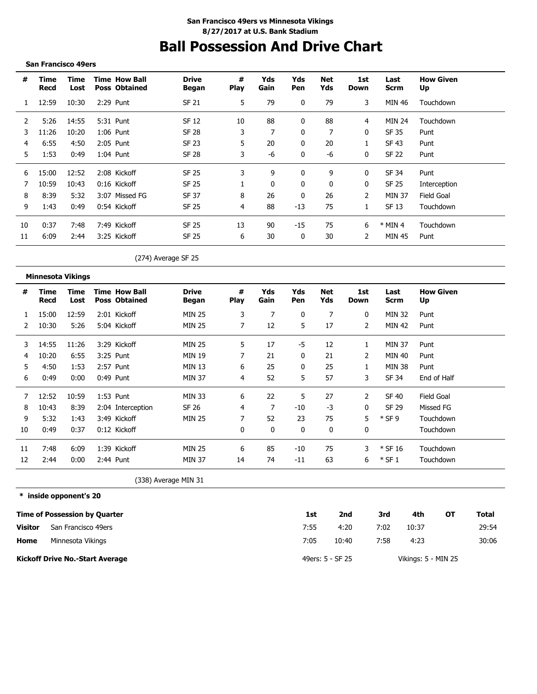# **Ball Possession And Drive Chart**

#### **San Francisco 49ers**

| #  | Time<br>Recd | Time<br>Lost | <b>Time How Ball</b><br><b>Poss Obtained</b> | <b>Drive</b><br>Began | #<br><b>Play</b> | Yds<br>Gain | Yds<br><b>Pen</b> | Net<br>Yds   | 1st<br>Down    | Last<br><b>Scrm</b> | <b>How Given</b><br>Up |
|----|--------------|--------------|----------------------------------------------|-----------------------|------------------|-------------|-------------------|--------------|----------------|---------------------|------------------------|
|    | 12:59        | 10:30        | 2:29 Punt                                    | <b>SF 21</b>          | 5                | 79          | 0                 | 79           | 3              | <b>MIN 46</b>       | Touchdown              |
| 2  | 5:26         | 14:55        | 5:31 Punt                                    | <b>SF 12</b>          | 10               | 88          | 0                 | 88           | 4              | <b>MIN 24</b>       | Touchdown              |
| 3  | 11:26        | 10:20        | $1:06$ Punt                                  | SF 28                 | 3                | 7           | 0                 | 7            | 0              | SF 35               | Punt                   |
| 4  | 6:55         | 4:50         | 2:05 Punt                                    | SF 23                 | 5                | 20          | $\mathbf{0}$      | 20           |                | SF 43               | Punt                   |
| 5. | 1:53         | 0:49         | $1:04$ Punt                                  | <b>SF 28</b>          | 3                | -6          | 0                 | -6           | $\mathbf{0}$   | <b>SF 22</b>        | Punt                   |
| 6  | 15:00        | 12:52        | 2:08 Kickoff                                 | <b>SF 25</b>          | 3                | 9           | 0                 | 9            | $\bf{0}$       | SF 34               | Punt                   |
|    | 10:59        | 10:43        | 0:16 Kickoff                                 | <b>SF 25</b>          |                  | 0           | 0                 | $\mathbf{0}$ | 0              | <b>SF 25</b>        | Interception           |
| 8  | 8:39         | 5:32         | 3:07 Missed FG                               | SF 37                 | 8                | 26          | 0                 | 26           | $\overline{2}$ | <b>MIN 37</b>       | Field Goal             |
| 9  | 1:43         | 0:49         | 0:54 Kickoff                                 | <b>SF 25</b>          | 4                | 88          | $-13$             | 75           |                | SF 13               | Touchdown              |
| 10 | 0:37         | 7:48         | 7:49 Kickoff                                 | <b>SF 25</b>          | 13               | 90          | $-15$             | 75           | 6              | $*$ MIN 4           | Touchdown              |
| 11 | 6:09         | 2:44         | 3:25 Kickoff                                 | <b>SF 25</b>          | 6                | 30          | 0                 | 30           | 2              | <b>MIN 45</b>       | Punt                   |
|    |              |              |                                              | (274) Average SF 25   |                  |             |                   |              |                |                     |                        |

**Minnesota Vikings**

| #  | Time<br>Recd | Time<br>Lost | <b>Time How Ball</b><br><b>Poss Obtained</b> | <b>Drive</b><br>Began | #<br>Play | Yds<br>Gain | Yds<br>Pen | Net<br>Yds | 1st<br>Down  | Last<br>Scrm  | <b>How Given</b><br>Up |
|----|--------------|--------------|----------------------------------------------|-----------------------|-----------|-------------|------------|------------|--------------|---------------|------------------------|
|    | 15:00        | 12:59        | 2:01 Kickoff                                 | <b>MIN 25</b>         | 3         | 7           | 0          | 7          | 0            | <b>MIN 32</b> | Punt                   |
|    | 10:30        | 5:26         | 5:04 Kickoff                                 | <b>MIN 25</b>         |           | 12          | 5          | 17         | 2            | <b>MIN 42</b> | Punt                   |
| 3  | 14:55        | 11:26        | 3:29 Kickoff                                 | <b>MIN 25</b>         | 5         | 17          | -5         | 12         | 1            | <b>MIN 37</b> | Punt                   |
| 4  | 10:20        | 6:55         | 3:25 Punt                                    | MIN 19                |           | 21          | 0          | 21         | 2            | MIN 40        | Punt                   |
| 5  | 4:50         | 1:53         | 2:57 Punt                                    | MIN 13                | 6         | 25          | 0          | 25         | 1            | MIN 38        | Punt                   |
| 6  | 0:49         | 0:00         | $0:49$ Punt                                  | <b>MIN 37</b>         | 4         | 52          | 5          | 57         | 3            | SF 34         | End of Half            |
|    | 12:52        | 10:59        | $1:53$ Punt                                  | <b>MIN 33</b>         | 6         | 22          | 5          | 27         | 2            | SF 40         | Field Goal             |
| 8  | 10:43        | 8:39         | 2:04 Interception                            | SF 26                 | 4         | 7           | $-10$      | -3         | $\mathbf{0}$ | SF 29         | Missed FG              |
| 9  | 5:32         | 1:43         | 3:49 Kickoff                                 | <b>MIN 25</b>         |           | 52          | 23         | 75         | 5            | $*$ SF 9      | Touchdown              |
| 10 | 0:49         | 0:37         | 0:12 Kickoff                                 |                       | 0         | 0           | 0          | 0          | 0            |               | Touchdown              |
| 11 | 7:48         | 6:09         | 1:39 Kickoff                                 | <b>MIN 25</b>         | 6         | 85          | -10        | 75         | 3            | $*$ SF 16     | Touchdown              |
| 12 | 2:44         | 0:00         | $2:44$ Punt                                  | <b>MIN 37</b>         | 14        | 74          | $-11$      | 63         | 6            | $*$ SF 1      | Touchdown              |

(338) Average MIN 31

**\* inside opponent's 20**

|         | <b>Time of Possession by Quarter</b>   | 1st  | 2nd              | 3rd  | 4th                 | ΟТ | Total |
|---------|----------------------------------------|------|------------------|------|---------------------|----|-------|
| Visitor | San Francisco 49ers                    | 7:55 | 4:20             | 7:02 | 10:37               |    | 29:54 |
| Home    | Minnesota Vikings                      | 7:05 | 10:40            | 7:58 | 4:23                |    | 30:06 |
|         | <b>Kickoff Drive No.-Start Average</b> |      | 49ers: 5 - SF 25 |      | Vikings: 5 - MIN 25 |    |       |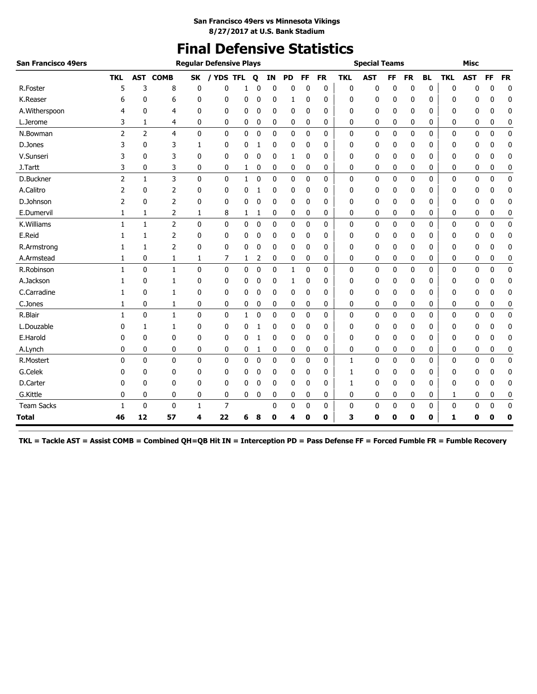### **Final Defensive Statistics**

| San Francisco 49ers |              |                |                |              | <b>Regular Defensive Plays</b> |              |             |              |           |              |             |            | <b>Special Teams</b> |           |             |           |              | <b>Misc</b>  |              |             |
|---------------------|--------------|----------------|----------------|--------------|--------------------------------|--------------|-------------|--------------|-----------|--------------|-------------|------------|----------------------|-----------|-------------|-----------|--------------|--------------|--------------|-------------|
|                     | <b>TKL</b>   | <b>AST</b>     | <b>COMB</b>    | <b>SK</b>    | / YDS TFL                      |              | Q           | ΙN           | <b>PD</b> | FF           | <b>FR</b>   | <b>TKL</b> | <b>AST</b>           | <b>FF</b> | <b>FR</b>   | <b>BL</b> | <b>TKL</b>   | <b>AST</b>   | <b>FF</b>    | <b>FR</b>   |
| R.Foster            | 5            | 3              | 8              | 0            | 0                              | 1            | 0           | 0            | 0         | 0            | 0           | 0          | 0                    | 0         | 0           | 0         | 0            | 0            | 0            | 0           |
| K.Reaser            | 6            | 0              | 6              | 0            | 0                              | 0            | 0           | 0            | 1         | 0            | 0           | 0          | 0                    | 0         | 0           | 0         | 0            | 0            | 0            | 0           |
| A.Witherspoon       | 4            | 0              | 4              | 0            | 0                              | 0            | 0           | 0            | 0         | 0            | 0           | 0          | 0                    | 0         | 0           | 0         | 0            | 0            | 0            | 0           |
| L.Jerome            | 3            | 1              | 4              | 0            | 0                              | 0            | 0           | 0            | 0         | 0            | 0           | 0          | 0                    | 0         | 0           | 0         | 0            | 0            | 0            | 0           |
| N.Bowman            | 2            | $\overline{2}$ | 4              | $\mathbf 0$  | 0                              | 0            | $\mathbf 0$ | 0            | 0         | $\mathbf 0$  | 0           | 0          | $\mathbf 0$          | 0         | $\mathbf 0$ | 0         | $\mathbf 0$  | 0            | $\mathbf 0$  | $\pmb{0}$   |
| D.Jones             | 3            | 0              | 3              | 1            | 0                              | 0            | 1           | 0            | 0         | 0            | 0           | 0          | 0                    | 0         | 0           | 0         | 0            | 0            | 0            | 0           |
| V.Sunseri           | 3            | 0              | 3              | 0            | 0                              | 0            | 0           | 0            | 1         | 0            | 0           | 0          | 0                    | 0         | 0           | 0         | 0            | 0            | 0            | $\mathbf 0$ |
| J.Tartt             | 3            | 0              | 3              | 0            | 0                              | 1            | 0           | 0            | 0         | 0            | 0           | 0          | 0                    | 0         | 0           | 0         | 0            | 0            | 0            | 0           |
| D.Buckner           | 2            | $\mathbf{1}$   | 3              | $\mathbf{0}$ | $\mathbf{0}$                   | $\mathbf{1}$ | $\mathbf 0$ | $\mathbf{0}$ | 0         | $\mathbf{0}$ | $\mathbf 0$ | 0          | $\mathbf 0$          | 0         | 0           | 0         | $\mathbf 0$  | $\mathbf{0}$ | $\mathbf{0}$ | $\mathbf 0$ |
| A.Calitro           | 2            | 0              | 2              | 0            | 0                              | 0            | 1           | $\mathbf{0}$ | 0         | 0            | 0           | 0          | 0                    | 0         | 0           | 0         | 0            | 0            | 0            | 0           |
| D.Johnson           | 2            | $\mathbf{0}$   | $\overline{2}$ | $\mathbf{0}$ | 0                              | $\mathbf{0}$ | 0           | 0            | 0         | 0            | 0           | 0          | 0                    | 0         | 0           | 0         | 0            | 0            | 0            | 0           |
| E.Dumervil          | 1            | 1              | 2              | 1            | 8                              | 1            | 1           | 0            | 0         | 0            | 0           | 0          | 0                    | 0         | 0           | 0         | 0            | 0            | 0            | 0           |
| K.Williams          | 1            | $\mathbf{1}$   | $\overline{2}$ | $\mathbf{0}$ | 0                              | 0            | $\pmb{0}$   | $\pmb{0}$    | 0         | $\mathbf 0$  | 0           | 0          | 0                    | 0         | $\mathbf 0$ | 0         | $\mathbf{0}$ | 0            | $\mathbf 0$  | $\pmb{0}$   |
| E.Reid              | 1            | 1              | 2              | 0            | 0                              | 0            | 0           | 0            | 0         | 0            | 0           | 0          | 0                    | 0         | 0           | 0         | 0            | 0            | 0            | 0           |
| R.Armstrong         | 1            | 1              | 2              | 0            | 0                              | 0            | 0           | 0            | 0         | 0            | 0           | 0          | 0                    | 0         | 0           | 0         | 0            | 0            | 0            | 0           |
| A.Armstead          |              | 0              | 1              | 1            | 7                              | 1            | 2           | 0            | 0         | 0            | 0           | 0          | 0                    | 0         | 0           | 0         | 0            | 0            | 0            | 0           |
| R.Robinson          | 1            | $\mathbf{0}$   | 1              | 0            | 0                              | 0            | $\mathbf 0$ | 0            | 1         | $\mathbf 0$  | 0           | 0          | 0                    | 0         | 0           | 0         | $\mathbf{0}$ | 0            | $\mathbf 0$  | $\pmb{0}$   |
| A.Jackson           |              | 0              | 1              | 0            | 0                              | 0            | 0           | 0            | 1         | 0            | 0           | 0          | 0                    | 0         | 0           | 0         | 0            | 0            | 0            | 0           |
| C.Carradine         | 1            | 0              | 1              | 0            | 0                              | 0            | 0           | 0            | 0         | 0            | 0           | 0          | 0                    | 0         | 0           | 0         | 0            | 0            | 0            | 0           |
| C.Jones             | 1            | 0              | 1              | 0            | 0                              | 0            | 0           | 0            | 0         | 0            | 0           | 0          | 0                    | 0         | 0           | 0         | 0            | 0            | 0            | 0           |
| R.Blair             | 1            | $\mathbf{0}$   | 1              | 0            | 0                              | 1            | 0           | 0            | 0         | $\mathbf 0$  | 0           | 0          | 0                    | 0         | 0           | 0         | $\mathbf{0}$ | 0            | 0            | $\mathbf 0$ |
| L.Douzable          | 0            | 1              | 1              | 0            | 0                              | 0            | 1           | 0            | 0         | 0            | 0           | 0          | 0                    | 0         | 0           | 0         | 0            | 0            | 0            | 0           |
| E.Harold            | 0            | 0              | 0              | 0            | 0                              | 0            | 1           | 0            | 0         | 0            | 0           | 0          | 0                    | 0         | 0           | 0         | 0            | 0            | 0            | 0           |
| A.Lynch             | 0            | 0              | 0              | 0            | 0                              | 0            | 1           | 0            | 0         | 0            | 0           | 0          | 0                    | 0         | 0           | 0         | 0            | 0            | 0            | 0           |
| R.Mostert           | $\mathbf{0}$ | $\mathbf{0}$   | $\mathbf{0}$   | $\mathbf{0}$ | 0                              | 0            | $\mathbf 0$ | 0            | 0         | $\mathbf 0$  | 0           | 1          | $\mathbf 0$          | 0         | 0           | 0         | 0            | 0            | $\mathbf 0$  | $\pmb{0}$   |
| G.Celek             | 0            | 0              | 0              | 0            | 0                              | 0            | 0           | 0            | 0         | 0            | 0           | 1          | 0                    | 0         | 0           | 0         | 0            | 0            | 0            | 0           |
| D.Carter            | 0            | 0              | 0              | 0            | 0                              | 0            | 0           | 0            | 0         | 0            | 0           | 1          | 0                    | 0         | 0           | 0         | 0            | 0            | 0            | 0           |
| G.Kittle            | 0            | 0              | 0              | 0            | 0                              | 0            | 0           | 0            | 0         | 0            | 0           | 0          | 0                    | 0         | 0           | 0         | 1            | 0            | 0            | 0           |
| <b>Team Sacks</b>   | 1            | $\mathbf 0$    | 0              | 1            | 7                              |              |             | 0            | 0         | 0            | 0           | 0          | 0                    | 0         | 0           | 0         | 0            | 0            | 0            | 0           |
| <b>Total</b>        | 46           | 12             | 57             | 4            | 22                             | 6            | 8           | 0            | 4         | 0            | 0           | 3          | 0                    | 0         | 0           | 0         | 1            | 0            | 0            | 0           |

**TKL = Tackle AST = Assist COMB = Combined QH=QB Hit IN = Interception PD = Pass Defense FF = Forced Fumble FR = Fumble Recovery**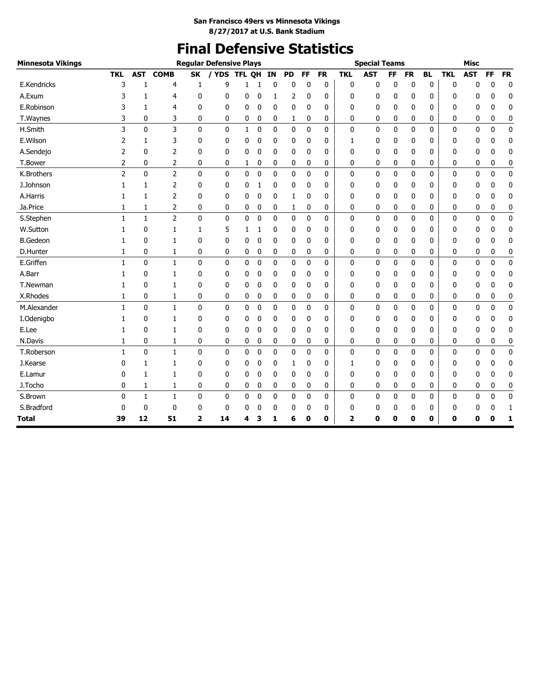# **Final Defensive Statistics**

| <b>Minnesota Vikings</b> |                |              |                |                         | <b>Regular Defensive Plays</b> |              |             |              |              |              |              |              | <b>Special Teams</b> |              |              |              |            | <b>Misc</b>  |              |             |
|--------------------------|----------------|--------------|----------------|-------------------------|--------------------------------|--------------|-------------|--------------|--------------|--------------|--------------|--------------|----------------------|--------------|--------------|--------------|------------|--------------|--------------|-------------|
|                          | <b>TKL</b>     | <b>AST</b>   | <b>COMB</b>    | <b>SK</b>               | / YDS                          | <b>TFL</b>   | <b>OH</b>   | IN           | <b>PD</b>    | <b>FF</b>    | <b>FR</b>    | <b>TKL</b>   | <b>AST</b>           | <b>FF</b>    | <b>FR</b>    | <b>BL</b>    | <b>TKL</b> | <b>AST</b>   | <b>FF</b>    | <b>FR</b>   |
| E.Kendricks              | 3              | 1            | 4              | 1                       | 9                              | 1            | 1           | 0            | 0            | 0            | 0            | $\bf{0}$     | 0                    | 0            | 0            | 0            | 0          | 0            | $\bf{0}$     | $\bf{0}$    |
| A.Exum                   | 3              | 1            | 4              | 0                       | 0                              | 0            | 0           | 1            | 2            | 0            | 0            | 0            | 0                    | 0            | 0            | 0            | 0          | 0            | 0            | 0           |
| E.Robinson               | 3              | 1            | 4              | 0                       | 0                              | 0            | 0           | 0            | 0            | 0            | 0            | 0            | 0                    | 0            | 0            | 0            | 0          | 0            | 0            | 0           |
| T.Waynes                 | 3              | 0            | 3              | 0                       | 0                              | 0            | 0           | 0            | 1            | 0            | 0            | 0            | 0                    | 0            | 0            | 0            | 0          | 0            | 0            | 0           |
| H.Smith                  | 3              | $\mathbf 0$  | 3              | $\mathbf 0$             | 0                              | $\mathbf{1}$ | $\mathbf 0$ | 0            | 0            | $\mathbf 0$  | 0            | $\mathbf 0$  | 0                    | 0            | $\mathbf 0$  | $\mathbf 0$  | 0          | 0            | $\mathbf 0$  | $\mathbf 0$ |
| E.Wilson                 | 2              | 1            | 3              | 0                       | 0                              | 0            | 0           | 0            | 0            | $\mathbf 0$  | 0            | 1            | 0                    | 0            | 0            | 0            | 0          | 0            | 0            | 0           |
| A.Sendejo                | 2              | $\mathbf{0}$ | 2              | $\mathbf{0}$            | 0                              | 0            | 0           | $\mathbf{0}$ | $\mathbf{0}$ | $\mathbf{0}$ | $\mathbf{0}$ | 0            | 0                    | 0            | $\mathbf{0}$ | $\mathbf{0}$ | 0          | 0            | 0            | 0           |
| T.Bower                  | 2              | 0            | 2              | 0                       | 0                              | 1            | 0           | 0            | 0            | 0            | 0            | 0            | 0                    | 0            | 0            | 0            | 0          | 0            | 0            | 0           |
| K.Brothers               | $\overline{2}$ | $\mathbf{0}$ | $\overline{2}$ | $\mathbf{0}$            | $\mathbf{0}$                   | 0            | $\mathbf 0$ | $\mathbf{0}$ | $\mathbf{0}$ | $\mathbf{0}$ | $\mathbf{0}$ | $\mathbf{0}$ | $\mathbf{0}$         | 0            | $\mathbf{0}$ | 0            | 0          | 0            | $\mathbf{0}$ | $\mathbf 0$ |
| J.Johnson                | $\mathbf{1}$   | 1            | 2              | $\mathbf{0}$            | 0                              | 0            | 1           | 0            | 0            | 0            | 0            | 0            | 0                    | 0            | 0            | 0            | 0          | 0            | 0            | 0           |
| A.Harris                 | 1              | $\mathbf{1}$ | 2              | $\mathbf{0}$            | 0                              | 0            | $\mathbf 0$ | 0            | 1            | $\mathbf 0$  | $\mathbf{0}$ | 0            | 0                    | 0            | $\mathbf{0}$ | 0            | 0          | 0            | 0            | 0           |
| Ja.Price                 | 1              | 1            | $\overline{2}$ | 0                       | 0                              | 0            | 0           | 0            | 1            | 0            | 0            | 0            | 0                    | 0            | 0            | 0            | 0          | 0            | 0            | 0           |
| S.Stephen                | $\mathbf{1}$   | $\mathbf{1}$ | $\overline{2}$ | $\mathbf{0}$            | 0                              | 0            | $\mathbf 0$ | $\mathbf{0}$ | $\mathbf{0}$ | $\mathbf 0$  | $\mathbf{0}$ | $\mathbf{0}$ | 0                    | $\mathbf{0}$ | $\mathbf 0$  | 0            | 0          | $\mathbf{0}$ | $\mathbf{0}$ | $\pmb{0}$   |
| W.Sutton                 | $\mathbf{1}$   | 0            | 1              | 1                       | 5                              | 1            | 1           | 0            | 0            | $\mathbf 0$  | 0            | 0            | 0                    | 0            | 0            | 0            | 0          | 0            | 0            | 0           |
| <b>B.Gedeon</b>          | 1              | $\mathbf{0}$ | 1              | 0                       | 0                              | 0            | $\mathbf 0$ | $\mathbf{0}$ | $\mathbf{0}$ | $\mathbf{0}$ | $\mathbf{0}$ | 0            | 0                    | 0            | $\mathbf{0}$ | 0            | 0          | 0            | 0            | 0           |
| D.Hunter                 | 1              | 0            | 1              | 0                       | 0                              | 0            | 0           | 0            | 0            | 0            | 0            | 0            | 0                    | 0            | 0            | 0            | 0          | 0            | 0            | 0           |
| E.Griffen                | $\mathbf{1}$   | $\mathbf 0$  | $\mathbf{1}$   | $\mathbf{0}$            | 0                              | 0            | $\mathbf 0$ | $\mathbf{0}$ | $\mathbf{0}$ | $\mathbf 0$  | $\mathbf{0}$ | 0            | 0                    | 0            | 0            | 0            | 0          | $\mathbf{0}$ | $\mathbf{0}$ | $\pmb{0}$   |
| A.Barr                   | 1              | 0            | 1              | 0                       | 0                              | 0            | 0           | 0            | 0            | 0            | 0            | 0            | 0                    | 0            | 0            | 0            | 0          | 0            | 0            | 0           |
| T.Newman                 | 1              | $\mathbf{0}$ | 1              | 0                       | 0                              | 0            | 0           | 0            | 0            | $\mathbf 0$  | 0            | 0            | 0                    | 0            | 0            | 0            | 0          | 0            | 0            | 0           |
| X.Rhodes                 | 1              | 0            | 1              | 0                       | 0                              | 0            | 0           | 0            | 0            | 0            | 0            | 0            | 0                    | 0            | 0            | 0            | 0          | 0            | 0            | 0           |
| M.Alexander              | $\mathbf{1}$   | $\mathbf 0$  | $\mathbf{1}$   | 0                       | 0                              | 0            | $\mathbf 0$ | 0            | $\mathbf{0}$ | $\mathbf 0$  | $\Omega$     | $\mathbf{0}$ | 0                    | 0            | $\mathbf 0$  | 0            | 0          | $\mathbf{0}$ | $\mathbf 0$  | $\pmb{0}$   |
| I.Odenigbo               | 1              | 0            | 1              | 0                       | 0                              | 0            | 0           | 0            | 0            | 0            | 0            | 0            | 0                    | 0            | 0            | 0            | 0          | 0            | 0            | 0           |
| E.Lee                    | 1              | 0            | 1              | 0                       | 0                              | 0            | 0           | 0            | 0            | $\mathbf 0$  | 0            | 0            | 0                    | 0            | 0            | 0            | 0          | 0            | 0            | 0           |
| N.Davis                  | 1              | 0            | 1              | 0                       | 0                              | 0            | 0           | 0            | 0            | 0            | 0            | 0            | 0                    | 0            | 0            | 0            | 0          | 0            | 0            | 0           |
| T.Roberson               | $\mathbf{1}$   | $\mathbf 0$  | $\mathbf{1}$   | 0                       | 0                              | 0            | $\mathbf 0$ | 0            | 0            | 0            | 0            | 0            | 0                    | 0            | 0            | 0            | 0          | 0            | $\mathbf 0$  | 0           |
| J.Kearse                 | 0              | 1            | 1              | 0                       | 0                              | 0            | 0           | 0            | 1            | 0            | 0            | 1            | 0                    | 0            | 0            | 0            | 0          | 0            | 0            | 0           |
| E.Lamur                  | 0              | 1            | 1              | 0                       | 0                              | 0            | 0           | 0            | 0            | $\mathbf 0$  | 0            | 0            | 0                    | 0            | 0            | 0            | 0          | 0            | 0            | 0           |
| J.Tocho                  | 0              | 1            | 1              | 0                       | 0                              | 0            | 0           | 0            | 0            | 0            | 0            | 0            | 0                    | 0            | 0            | 0            | 0          | 0            | 0            | 0           |
| S.Brown                  | 0              | 1            | 1              | 0                       | 0                              | 0            | 0           | 0            | 0            | 0            | 0            | $\mathbf{0}$ | 0                    | 0            | 0            | 0            | 0          | 0            | $\mathbf 0$  | $\pmb{0}$   |
| S.Bradford               | 0              | 0            | 0              | 0                       | 0                              | 0            | 0           | 0            | 0            | 0            | 0            | 0            | 0                    | 0            | 0            | 0            | 0          | 0            | 0            | 1           |
| <b>Total</b>             | 39             | 12           | 51             | $\overline{\mathbf{2}}$ | 14                             | 4            | 3           | 1            | 6            | 0            | 0            | 2            | 0                    | 0            | 0            | 0            | 0          | 0            | 0            | 1           |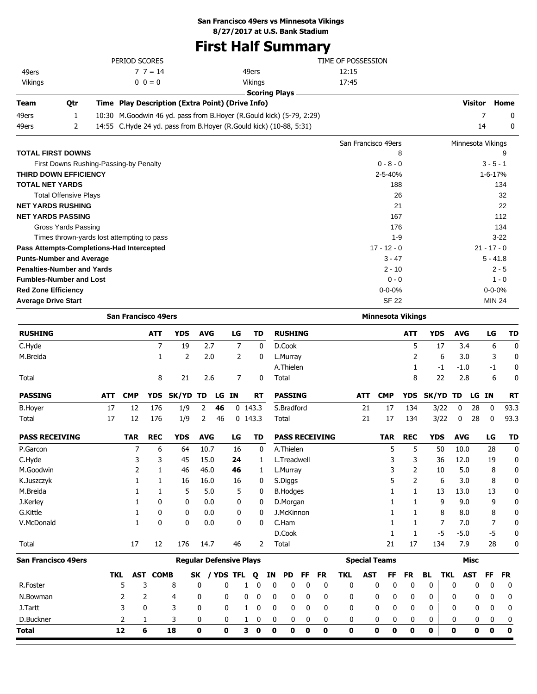### **San Francisco 49ers vs Minnesota Vikings**

**8/27/2017 at U.S. Bank Stadium**

### **First Half Summary**

|                                            |     | PERIOD SCORES              |                 |                                                                      |                                |             |                |                      |    |             |                          |             |                       | TIME OF POSSESSION |            |                          |             |            |                   |             |               |             |
|--------------------------------------------|-----|----------------------------|-----------------|----------------------------------------------------------------------|--------------------------------|-------------|----------------|----------------------|----|-------------|--------------------------|-------------|-----------------------|--------------------|------------|--------------------------|-------------|------------|-------------------|-------------|---------------|-------------|
| 49ers                                      |     |                            | $77 = 14$       |                                                                      |                                |             |                | 49ers                |    |             |                          |             |                       | 12:15              |            |                          |             |            |                   |             |               |             |
| Vikings                                    |     |                            | $0 \t0 = 0$     |                                                                      |                                |             |                | <b>Vikings</b>       |    |             |                          |             |                       | 17:45              |            |                          |             |            |                   |             |               |             |
|                                            |     |                            |                 |                                                                      |                                |             |                | <b>Scoring Plays</b> |    |             |                          |             |                       |                    |            |                          |             |            |                   |             |               |             |
| Team<br>Qtr                                |     |                            |                 | Time Play Description (Extra Point) (Drive Info)                     |                                |             |                |                      |    |             |                          |             |                       |                    |            |                          |             |            |                   | Visitor     |               | Home        |
| 49ers                                      | 1   |                            |                 | 10:30 M.Goodwin 46 yd. pass from B.Hoyer (R.Gould kick) (5-79, 2:29) |                                |             |                |                      |    |             |                          |             |                       |                    |            |                          |             |            |                   | 7           |               | 0           |
| 49ers                                      | 2   |                            |                 | 14:55 C.Hyde 24 yd. pass from B.Hoyer (R.Gould kick) (10-88, 5:31)   |                                |             |                |                      |    |             |                          |             |                       |                    |            |                          |             |            |                   | 14          |               | 0           |
|                                            |     |                            |                 |                                                                      |                                |             |                |                      |    |             |                          |             |                       |                    |            | San Francisco 49ers      |             |            | Minnesota Vikings |             |               |             |
| <b>TOTAL FIRST DOWNS</b>                   |     |                            |                 |                                                                      |                                |             |                |                      |    |             |                          |             |                       |                    |            |                          | 8           |            |                   |             |               | 9           |
| First Downs Rushing-Passing-by Penalty     |     |                            |                 |                                                                      |                                |             |                |                      |    |             |                          |             |                       |                    |            | $0 - 8 - 0$              |             |            |                   |             | $3 - 5 - 1$   |             |
| THIRD DOWN EFFICIENCY                      |     |                            |                 |                                                                      |                                |             |                |                      |    |             |                          |             |                       |                    |            | 2-5-40%                  |             |            |                   |             | $1 - 6 - 17%$ |             |
| <b>TOTAL NET YARDS</b>                     |     |                            |                 |                                                                      |                                |             |                |                      |    |             |                          |             |                       |                    |            | 188                      |             |            |                   |             |               | 134         |
| <b>Total Offensive Plays</b>               |     |                            |                 |                                                                      |                                |             |                |                      |    |             |                          |             |                       |                    |            |                          | 26          |            |                   |             |               | 32          |
| <b>NET YARDS RUSHING</b>                   |     |                            |                 |                                                                      |                                |             |                |                      |    |             |                          |             |                       |                    |            |                          | 21          |            |                   |             |               | 22          |
| <b>NET YARDS PASSING</b>                   |     |                            |                 |                                                                      |                                |             |                |                      |    |             |                          |             |                       |                    |            | 167                      |             |            |                   |             |               | 112         |
| Gross Yards Passing                        |     |                            |                 |                                                                      |                                |             |                |                      |    |             |                          |             |                       |                    |            | 176                      |             |            |                   |             |               | 134         |
| Times thrown-yards lost attempting to pass |     |                            |                 |                                                                      |                                |             |                |                      |    |             |                          |             |                       |                    |            | $1 - 9$                  |             |            |                   |             |               | $3 - 22$    |
| Pass Attempts-Completions-Had Intercepted  |     |                            |                 |                                                                      |                                |             |                |                      |    |             |                          |             |                       |                    |            | $17 - 12 - 0$            |             |            |                   |             | $21 - 17 - 0$ |             |
| <b>Punts-Number and Average</b>            |     |                            |                 |                                                                      |                                |             |                |                      |    |             |                          |             |                       |                    |            | $3 - 47$                 |             |            |                   |             | 5 - 41.8      |             |
| <b>Penalties-Number and Yards</b>          |     |                            |                 |                                                                      |                                |             |                |                      |    |             |                          |             |                       |                    |            | 2 - 10                   |             |            |                   |             |               | $2 - 5$     |
| <b>Fumbles-Number and Lost</b>             |     |                            |                 |                                                                      |                                |             |                |                      |    |             |                          |             |                       |                    |            | $0 - 0$                  |             |            |                   |             |               | $1 - 0$     |
| <b>Red Zone Efficiency</b>                 |     |                            |                 |                                                                      |                                |             |                |                      |    |             |                          |             |                       |                    |            | $0 - 0 - 0%$             |             |            |                   |             | $0 - 0 - 0%$  |             |
| <b>Average Drive Start</b>                 |     |                            |                 |                                                                      |                                |             |                |                      |    |             |                          |             |                       |                    |            | <b>SF 22</b>             |             |            |                   |             | <b>MIN 24</b> |             |
|                                            |     | <b>San Francisco 49ers</b> |                 |                                                                      |                                |             |                |                      |    |             |                          |             |                       |                    |            | <b>Minnesota Vikings</b> |             |            |                   |             |               |             |
| <b>RUSHING</b>                             |     |                            | <b>ATT</b>      | <b>YDS</b>                                                           | <b>AVG</b>                     |             | LG             | <b>TD</b>            |    |             | <b>RUSHING</b>           |             |                       |                    |            |                          | <b>ATT</b>  | <b>YDS</b> | <b>AVG</b>        |             | LG            | <b>TD</b>   |
| C.Hyde                                     |     |                            | 7               | 19                                                                   | 2.7                            |             | $\overline{7}$ | 0                    |    | D.Cook      |                          |             |                       |                    |            |                          | 5           | 17         | 3.4               |             | 6             | 0           |
| M.Breida                                   |     |                            | 1               | 2                                                                    | 2.0                            |             | 2              | 0                    |    | L.Murray    |                          |             |                       |                    |            |                          | 2           | 6          | 3.0               |             | 3             | 0           |
|                                            |     |                            |                 |                                                                      |                                |             |                |                      |    |             | A.Thielen                |             |                       |                    |            |                          | 1           | -1         | $-1.0$            |             | -1            | 0           |
| Total                                      |     |                            | 8               | 21                                                                   | 2.6                            |             | 7              | 0                    |    | Total       |                          |             |                       |                    |            |                          | 8           | 22         | 2.8               |             | 6             | 0           |
| <b>PASSING</b>                             | ATT | <b>CMP</b>                 |                 | YDS SK/YD TD                                                         |                                | LG IN       |                | <b>RT</b>            |    |             | <b>PASSING</b>           |             |                       |                    | <b>ATT</b> | <b>CMP</b>               | <b>YDS</b>  | SK/YD TD   |                   | LG IN       |               | <b>RT</b>   |
| <b>B.Hoyer</b>                             | 17  | 12                         | 176             | 1/9                                                                  | 2                              | 46          |                | $0$ 143.3            |    | S.Bradford  |                          |             |                       |                    | 21         | 17                       | 134         | 3/22       | 0                 | 28          | 0             | 93.3        |
| Total                                      | 17  | 12                         | 176             | 1/9                                                                  | 2                              | 46          |                | 0,143.3              |    | Total       |                          |             |                       |                    | 21         | 17                       | 134         | 3/22       | 0                 | 28          | 0             | 93.3        |
| <b>PASS RECEIVING</b>                      |     | <b>TAR</b>                 | <b>REC</b>      | YDS                                                                  | <b>AVG</b>                     |             | LG             | TD                   |    |             |                          |             | <b>PASS RECEIVING</b> |                    |            | <b>TAR</b>               | <b>REC</b>  | <b>YDS</b> | <b>AVG</b>        |             | LG            | TD          |
| P.Garcon                                   |     | 7                          | 6               | 64                                                                   |                                |             |                |                      |    |             |                          |             |                       |                    |            | 5                        | 5           |            |                   |             | 28            | $\Omega$    |
| C.Hyde                                     |     | 3                          | 3               | 45                                                                   | 10.7<br>15.0                   |             | 16<br>24       | 1                    | 0  |             | A.Thielen<br>L.Treadwell |             |                       |                    |            | 3                        | 3           | 50<br>36   | 10.0<br>12.0      |             | 19            | 0           |
| M.Goodwin                                  |     | 2                          | $\mathbf{1}$    | 46                                                                   | 46.0                           |             | 46             | 1                    |    |             | L.Murray                 |             |                       |                    |            | 3                        | 2           | 10         | 5.0               |             | 8             | 0           |
| K.Juszczyk                                 |     | 1                          | 1               | 16                                                                   | 16.0                           |             | 16             | 0                    |    | S.Diggs     |                          |             |                       |                    |            | 5                        | 2           | 6          | 3.0               |             | 8             | 0           |
| M.Breida                                   |     | 1                          | 1               | 5                                                                    | 5.0                            |             | 5              | 0                    |    |             | <b>B.Hodges</b>          |             |                       |                    |            | 1                        | 1           | 13         | 13.0              |             | 13            | 0           |
| J.Kerley                                   |     | 1                          | 0               | 0                                                                    | 0.0                            |             | 0              | 0                    |    |             | D.Morgan                 |             |                       |                    |            | 1                        | 1           | 9          | 9.0               |             | 9             | 0           |
| G.Kittle                                   |     | 1                          | 0               | 0                                                                    | 0.0                            |             | 0              | 0                    |    | J.McKinnon  |                          |             |                       |                    |            | 1                        | 1           | 8          | 8.0               |             | 8             | 0           |
| V.McDonald                                 |     | 1                          | 0               | 0                                                                    | 0.0                            |             | 0              | 0                    |    | C.Ham       |                          |             |                       |                    |            | 1                        | 1           | 7          | 7.0               |             | 7             | 0           |
|                                            |     |                            |                 |                                                                      |                                |             |                |                      |    | D.Cook      |                          |             |                       |                    |            | $\mathbf{1}$             | 1           | $-5$       | $-5.0$            |             | $-5$          | 0           |
| Total                                      |     | 17                         | 12              | 176                                                                  | 14.7                           |             | 46             |                      | 2  | Total       |                          |             |                       |                    |            | 21                       | 17          | 134        | 7.9               |             | 28            | 0           |
| <b>San Francisco 49ers</b>                 |     |                            |                 |                                                                      | <b>Regular Defensive Plays</b> |             |                |                      |    |             |                          |             |                       |                    |            | <b>Special Teams</b>     |             |            |                   | <b>Misc</b> |               |             |
|                                            |     | TKL                        | <b>AST COMB</b> |                                                                      | SK / YDS TFL                   |             |                | Q                    | ΙN |             | PD.                      | FF          | <b>FR</b>             | <b>TKL</b>         | <b>AST</b> | FF                       | <b>FR</b>   | BL         | <b>TKL</b>        | <b>AST</b>  | FF            | <b>FR</b>   |
| R.Foster                                   |     | 5                          | 3               | 8                                                                    | 0                              | 0           | 1              | 0                    |    | 0           | 0                        | 0           | 0                     | 0                  |            | 0<br>0                   | $\bf{0}$    | 0          | 0                 | 0           | 0             | 0           |
| N.Bowman                                   |     | 2                          | 2               | 4                                                                    | 0                              | 0           | 0              | 0                    |    | 0           | 0                        | 0           | 0                     | 0                  |            | 0<br>0                   | 0           | 0          | 0                 | 0           | 0             | 0           |
| J.Tartt                                    |     | 3                          | 0               | 3                                                                    | 0                              | 0           | $\mathbf{1}$   | 0                    |    | 0           | 0                        | 0           | 0                     | 0                  |            | 0<br>0                   | 0           | 0          | 0                 | 0           | 0             | 0           |
| D.Buckner                                  |     | 2                          | 1               | 3                                                                    | 0                              | 0           |                | 0<br>1               |    | 0           | 0                        | 0           | 0                     | 0                  |            | 0<br>0                   | 0           | 0          | 0                 | 0           | 0             | 0           |
| <b>Total</b>                               |     | 12                         | 6               | 18                                                                   | 0                              | $\mathbf 0$ |                | 3<br>$\mathbf 0$     |    | $\mathbf 0$ | 0                        | $\mathbf 0$ | 0                     | 0                  |            | $\bf{0}$<br>0            | $\mathbf 0$ | 0          | 0                 | 0           | $\bf{0}$      | $\mathbf 0$ |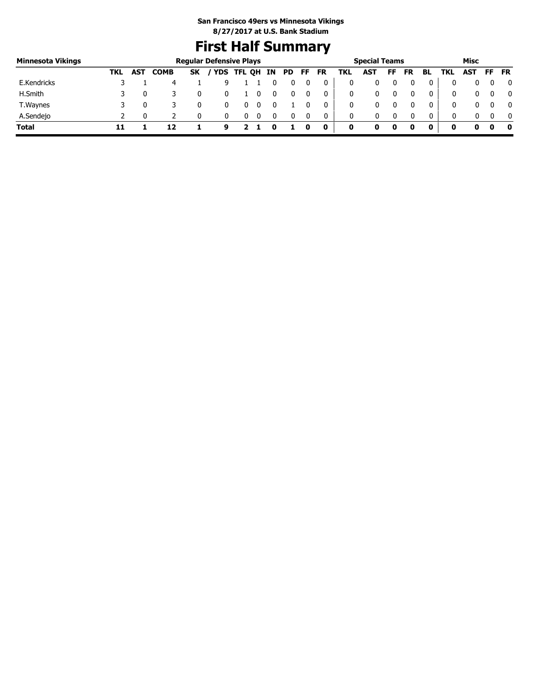# **First Half Summary**

| Minnesota Vikings |     |            |             | <b>Regular Defensive Plays</b> |            |        |    |           |    |    |     | <b>Special Teams</b> |    |           |    |            | Misc       |    |              |
|-------------------|-----|------------|-------------|--------------------------------|------------|--------|----|-----------|----|----|-----|----------------------|----|-----------|----|------------|------------|----|--------------|
|                   | TKL | <b>AST</b> | <b>COMB</b> | <b>SK</b>                      | <b>YDS</b> | TFL QH | IN | <b>PD</b> | FF | FR | TKL | <b>AST</b>           | FF | <b>FR</b> | BL | <b>TKL</b> | <b>AST</b> | FF | <b>FR</b>    |
| E.Kendricks       |     |            | 4           |                                |            |        |    |           |    |    |     |                      |    |           | 0  |            |            |    | $\Omega$     |
| H.Smith           |     |            |             |                                |            |        |    |           |    | 0  |     | 0                    |    |           | 0  | 0.         |            |    | 0            |
| T. Waynes         |     |            |             |                                |            |        |    |           |    | 0  |     | 0                    |    |           | 0  |            |            |    | $\mathbf{0}$ |
| A.Sendejo         |     |            |             |                                |            |        |    |           |    |    |     | 0                    |    |           | 0  | 0          |            |    | $\mathbf{0}$ |
| Total             |     |            | 17          |                                | 9          |        |    |           |    | 0  | 0   |                      | 0  |           | 0  |            |            |    | - 0          |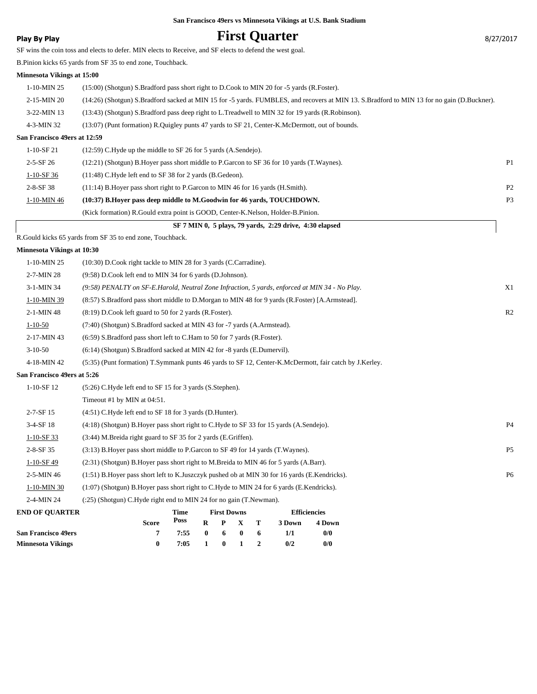### **Play By Play Play Play Play First Quarter By Play By Play By 27/2017**

SF wins the coin toss and elects to defer. MIN elects to Receive, and SF elects to defend the west goal.

B.Pinion kicks 65 yards from SF 35 to end zone, Touchback.

#### **Minnesota Vikings at 15:00**

| $1-10-MIN$ 25                | (15:00) (Shotgun) S.Bradford pass short right to D.Cook to MIN 20 for -5 yards (R.Foster).                                                 |                |
|------------------------------|--------------------------------------------------------------------------------------------------------------------------------------------|----------------|
| 2-15-MIN 20                  | (14:26) (Shotgun) S.Bradford sacked at MIN 15 for -5 yards. FUMBLES, and recovers at MIN 13. S.Bradford to MIN 13 for no gain (D.Buckner). |                |
| $3-22-MIN$ 13                | (13:43) (Shotgun) S.Bradford pass deep right to L.Treadwell to MIN 32 for 19 yards (R.Robinson).                                           |                |
| $4-3-MIN$ 32                 | (13:07) (Punt formation) R. Quigley punts 47 yards to SF 21, Center-K. McDermott, out of bounds.                                           |                |
| San Francisco 49ers at 12:59 |                                                                                                                                            |                |
| $1-10-SF21$                  | $(12:59)$ C.Hyde up the middle to SF 26 for 5 yards $(A.Sende)$ .                                                                          |                |
| $2 - 5 - SF 26$              | (12:21) (Shotgun) B. Hover pass short middle to P. Garcon to SF 36 for 10 yards (T. Waynes).                                               | P <sub>1</sub> |
| $1-10-SF$ 36                 | $(11:48)$ C. Hyde left end to SF 38 for 2 yards (B. Gedeon).                                                                               |                |
| $2 - 8 - SF$ 38              | $(11:14)$ B. Hover pass short right to P. Garcon to MIN 46 for 16 yards (H. Smith).                                                        | P <sub>2</sub> |

1-10-MIN 46 **(10:37) B.Hoyer pass deep middle to M.Goodwin for 46 yards, TOUCHDOWN.** P3 (Kick formation) R.Gould extra point is GOOD, Center-K.Nelson, Holder-B.Pinion.

### **SF 7 MIN 0, 5 plays, 79 yards, 2:29 drive, 4:30 elapsed**

R.Gould kicks 65 yards from SF 35 to end zone, Touchback.

#### **Minnesota Vikings at 10:30**

| END OF OUA DTED             | Time First Downs<br><b>Efficiancias</b>                                                                |                |
|-----------------------------|--------------------------------------------------------------------------------------------------------|----------------|
| 2-4-MIN 24                  | (:25) (Shotgun) C.Hyde right end to MIN 24 for no gain (T.Newman).                                     |                |
| 1-10-MIN 30                 | (1:07) (Shotgun) B.Hoyer pass short right to C.Hyde to MIN 24 for 6 yards (E.Kendricks).               |                |
| 2-5-MIN 46                  | $(1:51)$ B. Hover pass short left to K. Juszczyk pushed ob at MIN 30 for 16 yards (E. Kendricks).      | <b>P6</b>      |
| $1-10-SF49$                 | (2.31) (Shotgun) B. Hover pass short right to M. Breida to MIN 46 for 5 yards (A. Barr).               |                |
| $2 - 8 - SF$ 35             | (3.13) B. Hover pass short middle to P. Garcon to SF 49 for 14 yards (T. Waynes).                      | P <sub>5</sub> |
| $1-10-SF$ 33                | (3:44) M.Breida right guard to SF 35 for 2 yards (E.Griffen).                                          |                |
| 3-4-SF 18                   | (4.18) (Shotgun) B. Hoyer pass short right to C. Hyde to SF 33 for 15 yards (A. Sendejo).              | <b>P4</b>      |
| $2 - 7 - SF$ 15             | (4:51) C.Hyde left end to SF 18 for 3 yards (D.Hunter).                                                |                |
|                             | Timeout #1 by MIN at 04:51.                                                                            |                |
| $1-10-SF12$                 | (5:26) C.Hyde left end to SF 15 for 3 yards (S.Stephen).                                               |                |
| San Francisco 49ers at 5:26 |                                                                                                        |                |
| 4-18-MIN 42                 | (5:35) (Punt formation) T.Symmank punts 46 yards to SF 12, Center-K.McDermott, fair catch by J.Kerley. |                |
| $3-10-50$                   | (6:14) (Shotgun) S.Bradford sacked at MIN 42 for -8 yards (E.Dumervil).                                |                |
| 2-17-MIN 43                 | (6:59) S.Bradford pass short left to C.Ham to 50 for 7 yards (R.Foster).                               |                |
| $1 - 10 - 50$               | (7:40) (Shotgun) S.Bradford sacked at MIN 43 for -7 yards (A.Armstead).                                |                |
| 2-1-MIN 48                  | $(8:19)$ D.Cook left guard to 50 for 2 yards (R.Foster).                                               | R <sub>2</sub> |
| 1-10-MIN 39                 | (8:57) S.Bradford pass short middle to D.Morgan to MIN 48 for 9 yards (R.Foster) [A.Armstead].         |                |
| 3-1-MIN 34                  | (9:58) PENALTY on SF-E.Harold, Neutral Zone Infraction, 5 yards, enforced at MIN 34 - No Play.         | X1             |
| 2-7-MIN 28                  | (9:58) D.Cook left end to MIN 34 for 6 yards (D.Johnson).                                              |                |
| 1-10-MIN 25                 | (10:30) D.Cook right tackle to MIN 28 for 3 yards (C.Carradine).                                       |                |
|                             |                                                                                                        |                |

| <b>END OF OUARTER</b>      |              | Time |                     | <b>First Downs</b> |     | <b>Efficiencies</b> |        |  |
|----------------------------|--------------|------|---------------------|--------------------|-----|---------------------|--------|--|
|                            | <b>Score</b> | Poss |                     | R P X T            |     | 3 Down              | 4 Down |  |
| <b>San Francisco 49ers</b> |              | 7:55 | $0 \quad 6 \quad 0$ |                    | - 6 | 1/1                 | 0/0    |  |
| <b>Minnesota Vikings</b>   |              | 7:05 |                     | 1 0 1 2            |     | 0/2                 | 0/0    |  |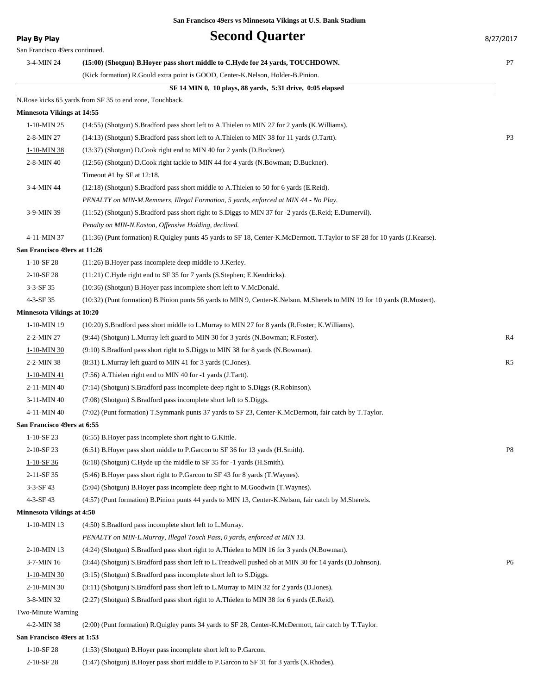### **Play By Play Play Play Second Quarter** 8/27/2017

| San Francisco 49ers continued.    |                                                                                                                                                                                |                |
|-----------------------------------|--------------------------------------------------------------------------------------------------------------------------------------------------------------------------------|----------------|
| 3-4-MIN 24                        | (15:00) (Shotgun) B.Hoyer pass short middle to C.Hyde for 24 yards, TOUCHDOWN.                                                                                                 | P7             |
|                                   | (Kick formation) R.Gould extra point is GOOD, Center-K.Nelson, Holder-B.Pinion.                                                                                                |                |
|                                   | SF 14 MIN 0, 10 plays, 88 yards, 5:31 drive, 0:05 elapsed                                                                                                                      |                |
|                                   | N. Rose kicks 65 yards from SF 35 to end zone, Touchback.                                                                                                                      |                |
| <b>Minnesota Vikings at 14:55</b> |                                                                                                                                                                                |                |
| 1-10-MIN 25                       | (14:55) (Shotgun) S.Bradford pass short left to A.Thielen to MIN 27 for 2 yards (K.Williams).                                                                                  |                |
| 2-8-MIN 27                        | (14:13) (Shotgun) S.Bradford pass short left to A.Thielen to MIN 38 for 11 yards (J.Tartt).                                                                                    | P <sub>3</sub> |
| 1-10-MIN 38                       | (13:37) (Shotgun) D.Cook right end to MIN 40 for 2 yards (D.Buckner).                                                                                                          |                |
| 2-8-MIN 40                        | (12:56) (Shotgun) D.Cook right tackle to MIN 44 for 4 yards (N.Bowman; D.Buckner).                                                                                             |                |
|                                   | Timeout #1 by SF at 12:18.                                                                                                                                                     |                |
| 3-4-MIN 44                        | (12:18) (Shotgun) S.Bradford pass short middle to A.Thielen to 50 for 6 yards (E.Reid).                                                                                        |                |
|                                   | PENALTY on MIN-M.Remmers, Illegal Formation, 5 yards, enforced at MIN 44 - No Play.                                                                                            |                |
| 3-9-MIN 39                        | (11:52) (Shotgun) S.Bradford pass short right to S.Diggs to MIN 37 for -2 yards (E.Reid; E.Dumervil).                                                                          |                |
|                                   | Penalty on MIN-N. Easton, Offensive Holding, declined.                                                                                                                         |                |
| 4-11-MIN 37                       | (11:36) (Punt formation) R.Quigley punts 45 yards to SF 18, Center-K.McDermott. T.Taylor to SF 28 for 10 yards (J.Kearse).                                                     |                |
| San Francisco 49ers at 11:26      |                                                                                                                                                                                |                |
| $1-10-SF$ 28                      | (11:26) B. Hoyer pass incomplete deep middle to J. Kerley.                                                                                                                     |                |
| 2-10-SF 28                        | (11:21) C.Hyde right end to SF 35 for 7 yards (S.Stephen; E.Kendricks).                                                                                                        |                |
| $3-3-SF$ 35                       | (10:36) (Shotgun) B. Hoyer pass incomplete short left to V. McDonald.                                                                                                          |                |
| 4-3-SF 35                         | (10:32) (Punt formation) B.Pinion punts 56 yards to MIN 9, Center-K.Nelson. M.Sherels to MIN 19 for 10 yards (R.Mostert).                                                      |                |
| <b>Minnesota Vikings at 10:20</b> |                                                                                                                                                                                |                |
| 1-10-MIN 19                       | (10:20) S.Bradford pass short middle to L.Murray to MIN 27 for 8 yards (R.Foster; K.Williams).                                                                                 |                |
| 2-2-MIN 27                        | (9:44) (Shotgun) L.Murray left guard to MIN 30 for 3 yards (N.Bowman; R.Foster).                                                                                               | R4             |
| 1-10-MIN 30                       | (9:10) S.Bradford pass short right to S.Diggs to MIN 38 for 8 yards (N.Bowman).                                                                                                |                |
| $2-2-MIN38$                       | (8:31) L.Murray left guard to MIN 41 for 3 yards (C.Jones).                                                                                                                    | R5             |
| 1-10-MIN 41<br>2-11-MIN 40        | (7:56) A. Thielen right end to MIN 40 for -1 yards (J. Tartt).                                                                                                                 |                |
| 3-11-MIN 40                       | (7:14) (Shotgun) S.Bradford pass incomplete deep right to S.Diggs (R.Robinson).                                                                                                |                |
| 4-11-MIN 40                       | (7:08) (Shotgun) S. Bradford pass incomplete short left to S. Diggs.<br>(7:02) (Punt formation) T.Symmank punts 37 yards to SF 23, Center-K.McDermott, fair catch by T.Taylor. |                |
| San Francisco 49ers at 6:55       |                                                                                                                                                                                |                |
| $1-10-SF$ 23                      | (6:55) B. Hoyer pass incomplete short right to G. Kittle.                                                                                                                      |                |
| 2-10-SF 23                        | (6:51) B. Hoyer pass short middle to P. Garcon to SF 36 for 13 yards (H. Smith).                                                                                               | P8             |
| $1-10-SF36$                       | $(6:18)$ (Shotgun) C.Hyde up the middle to SF 35 for $-1$ yards (H.Smith).                                                                                                     |                |
| 2-11-SF 35                        | (5:46) B. Hoyer pass short right to P. Garcon to SF 43 for 8 yards (T. Waynes).                                                                                                |                |
| $3-3-SF$ 43                       | (5:04) (Shotgun) B.Hoyer pass incomplete deep right to M.Goodwin (T.Waynes).                                                                                                   |                |
| 4-3-SF 43                         | (4:57) (Punt formation) B.Pinion punts 44 yards to MIN 13, Center-K.Nelson, fair catch by M.Sherels.                                                                           |                |
| <b>Minnesota Vikings at 4:50</b>  |                                                                                                                                                                                |                |
| 1-10-MIN 13                       | (4:50) S. Bradford pass incomplete short left to L. Murray.                                                                                                                    |                |
|                                   | PENALTY on MIN-L.Murray, Illegal Touch Pass, 0 yards, enforced at MIN 13.                                                                                                      |                |
| 2-10-MIN 13                       | (4:24) (Shotgun) S.Bradford pass short right to A.Thielen to MIN 16 for 3 yards (N.Bowman).                                                                                    |                |
| 3-7-MIN 16                        | (3:44) (Shotgun) S.Bradford pass short left to L.Treadwell pushed ob at MIN 30 for 14 yards (D.Johnson).                                                                       | P6             |
| 1-10-MIN 30                       | (3:15) (Shotgun) S. Bradford pass incomplete short left to S. Diggs.                                                                                                           |                |
| 2-10-MIN 30                       | (3:11) (Shotgun) S.Bradford pass short left to L.Murray to MIN 32 for 2 yards (D.Jones).                                                                                       |                |
| 3-8-MIN 32                        | (2:27) (Shotgun) S.Bradford pass short right to A.Thielen to MIN 38 for 6 yards (E.Reid).                                                                                      |                |
| Two-Minute Warning                |                                                                                                                                                                                |                |
| 4-2-MIN 38                        | (2:00) (Punt formation) R.Quigley punts 34 yards to SF 28, Center-K.McDermott, fair catch by T.Taylor.                                                                         |                |
| San Francisco 49ers at 1:53       |                                                                                                                                                                                |                |
| 1-10-SF 28                        | (1:53) (Shotgun) B. Hoyer pass incomplete short left to P. Garcon.                                                                                                             |                |
|                                   |                                                                                                                                                                                |                |

2-10-SF 28 (1:47) (Shotgun) B.Hoyer pass short middle to P.Garcon to SF 31 for 3 yards (X.Rhodes).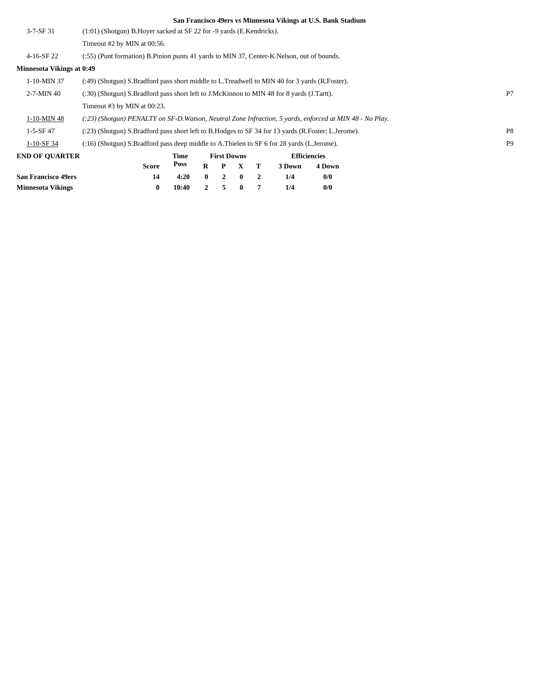| $3 - 7 - SF$ 31                  | (1:01) (Shotgun) B.Hoyer sacked at SF 22 for -9 yards (E.Kendricks).                                       |       |              |                    |              |                |        |                     |  |                |
|----------------------------------|------------------------------------------------------------------------------------------------------------|-------|--------------|--------------------|--------------|----------------|--------|---------------------|--|----------------|
|                                  | Timeout #2 by MIN at 00:56.                                                                                |       |              |                    |              |                |        |                     |  |                |
| 4-16-SF 22                       | (:55) (Punt formation) B. Pinion punts 41 yards to MIN 37, Center-K. Nelson, out of bounds.                |       |              |                    |              |                |        |                     |  |                |
| <b>Minnesota Vikings at 0:49</b> |                                                                                                            |       |              |                    |              |                |        |                     |  |                |
| 1-10-MIN 37                      | (:49) (Shotgun) S.Bradford pass short middle to L.Treadwell to MIN 40 for 3 yards (R.Foster).              |       |              |                    |              |                |        |                     |  |                |
| $2 - 7 - MIN 40$                 | (:30) (Shotgun) S.Bradford pass short left to J.McKinnon to MIN 48 for 8 yards (J.Tartt).                  |       |              |                    |              |                |        |                     |  | P7             |
| Timeout #3 by MIN at $00:23$ .   |                                                                                                            |       |              |                    |              |                |        |                     |  |                |
| 1-10-MIN 48                      | $(.23)$ (Shotgun) PENALTY on SF-D. Watson, Neutral Zone Infraction, 5 yards, enforced at MIN 48 - No Play. |       |              |                    |              |                |        |                     |  |                |
| $1-5-SF47$                       | (:23) (Shotgun) S.Bradford pass short left to B.Hodges to SF 34 for 13 yards (R.Foster; L.Jerome).         |       |              |                    |              |                |        |                     |  | P <sub>8</sub> |
| $1-10-SF$ 34                     | (:16) (Shotgun) S.Bradford pass deep middle to A.Thielen to SF 6 for 28 yards (L.Jerome).                  |       |              |                    |              |                |        |                     |  | P <sub>9</sub> |
| <b>END OF OUARTER</b>            |                                                                                                            | Time  |              | <b>First Downs</b> |              |                |        | <b>Efficiencies</b> |  |                |
|                                  | <b>Score</b>                                                                                               | Poss  | $\bf{R}$     | P                  | X            | т              | 3 Down | 4 Down              |  |                |
| <b>San Francisco 49ers</b>       | 14                                                                                                         | 4:20  | $\mathbf{0}$ | $\overline{2}$     | $\bf{0}$     | $\overline{2}$ | 1/4    | 0/0                 |  |                |
| <b>Minnesota Vikings</b>         | $\bf{0}$                                                                                                   | 10:40 | $\mathbf{2}$ | 5                  | $\mathbf{0}$ | 7              | 1/4    | 0/0                 |  |                |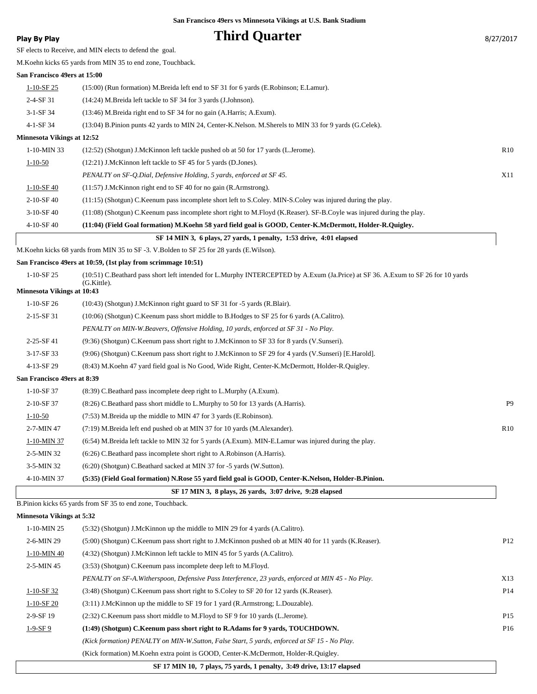| <b>Play By Play</b>               | <b>Third Quarter</b>                                                                                                                            | 8/27/2017       |
|-----------------------------------|-------------------------------------------------------------------------------------------------------------------------------------------------|-----------------|
|                                   | SF elects to Receive, and MIN elects to defend the goal.                                                                                        |                 |
|                                   | M. Koehn kicks 65 yards from MIN 35 to end zone, Touchback.                                                                                     |                 |
| San Francisco 49ers at 15:00      |                                                                                                                                                 |                 |
| $1 - 10 - SF$ 25                  | (15:00) (Run formation) M.Breida left end to SF 31 for 6 yards (E.Robinson; E.Lamur).                                                           |                 |
| $2-4-SF31$                        | (14:24) M.Breida left tackle to SF 34 for 3 yards (J.Johnson).                                                                                  |                 |
| $3-1-SF34$                        | (13:46) M.Breida right end to SF 34 for no gain (A.Harris; A.Exum).                                                                             |                 |
| 4-1-SF 34                         | (13:04) B.Pinion punts 42 yards to MIN 24, Center-K.Nelson. M.Sherels to MIN 33 for 9 yards (G.Celek).                                          |                 |
| <b>Minnesota Vikings at 12:52</b> |                                                                                                                                                 |                 |
| $1-10-MIN$ 33                     | (12:52) (Shotgun) J.McKinnon left tackle pushed ob at 50 for 17 yards (L.Jerome).                                                               | R <sub>10</sub> |
| $1 - 10 - 50$                     | (12:21) J.McKinnon left tackle to SF 45 for 5 yards (D.Jones).                                                                                  |                 |
|                                   | PENALTY on SF-Q.Dial, Defensive Holding, 5 yards, enforced at SF 45.                                                                            | X11             |
| $1 - 10 - SF - 40$                | $(11:57)$ J.McKinnon right end to SF 40 for no gain (R.Armstrong).                                                                              |                 |
| $2-10-SF$ 40                      | (11:15) (Shotgun) C.Keenum pass incomplete short left to S.Coley. MIN-S.Coley was injured during the play.                                      |                 |
| $3-10-SF$ 40                      | (11:08) (Shotgun) C.Keenum pass incomplete short right to M.Floyd (K.Reaser). SF-B.Coyle was injured during the play.                           |                 |
| 4-10-SF 40                        | (11:04) (Field Goal formation) M.Koehn 58 yard field goal is GOOD, Center-K.McDermott, Holder-R.Quigley.                                        |                 |
|                                   | SF 14 MIN 3, 6 plays, 27 yards, 1 penalty, 1:53 drive, 4:01 elapsed                                                                             |                 |
|                                   | M.Koehn kicks 68 yards from MIN 35 to SF -3. V.Bolden to SF 25 for 28 yards (E.Wilson).                                                         |                 |
|                                   | San Francisco 49ers at 10:59, (1st play from scrimmage 10:51)                                                                                   |                 |
| 1-10-SF 25                        | (10:51) C.Beathard pass short left intended for L.Murphy INTERCEPTED by A.Exum (Ja.Price) at SF 36. A.Exum to SF 26 for 10 yards<br>(G.Kittle). |                 |
| <b>Minnesota Vikings at 10:43</b> |                                                                                                                                                 |                 |
| $1-10-SF26$                       | (10:43) (Shotgun) J.McKinnon right guard to SF 31 for -5 yards (R.Blair).                                                                       |                 |
| 2-15-SF 31                        | (10:06) (Shotgun) C.Keenum pass short middle to B.Hodges to SF 25 for 6 yards (A.Calitro).                                                      |                 |
|                                   | PENALTY on MIN-W.Beavers, Offensive Holding, 10 yards, enforced at SF 31 - No Play.                                                             |                 |
| 2-25-SF41                         | (9:36) (Shotgun) C.Keenum pass short right to J.McKinnon to SF 33 for 8 yards (V.Sunseri).                                                      |                 |
| 3-17-SF 33                        | (9:06) (Shotgun) C.Keenum pass short right to J.McKinnon to SF 29 for 4 yards (V.Sunseri) [E.Harold].                                           |                 |
| 4-13-SF 29                        | (8:43) M.Koehn 47 yard field goal is No Good, Wide Right, Center-K.McDermott, Holder-R.Quigley.                                                 |                 |
| San Francisco 49ers at 8:39       |                                                                                                                                                 |                 |
| 1-10-SF 37                        | (8:39) C.Beathard pass incomplete deep right to L.Murphy (A.Exum).                                                                              |                 |
| 2-10-SF 37                        | (8:26) C.Beathard pass short middle to L.Murphy to 50 for 13 yards (A.Harris).                                                                  | P9              |
| $1 - 10 - 50$                     | (7:53) M.Breida up the middle to MIN 47 for 3 yards (E.Robinson).                                                                               |                 |
| 2-7-MIN 47                        | (7:19) M.Breida left end pushed ob at MIN 37 for 10 yards (M.Alexander).                                                                        | R10             |
| 1-10-MIN 37                       | (6:54) M.Breida left tackle to MIN 32 for 5 yards (A.Exum). MIN-E.Lamur was injured during the play.                                            |                 |
| 2-5-MIN 32                        | (6:26) C.Beathard pass incomplete short right to A.Robinson (A.Harris).                                                                         |                 |
| 3-5-MIN 32                        | (6:20) (Shotgun) C.Beathard sacked at MIN 37 for -5 yards (W.Sutton).                                                                           |                 |
| 4-10-MIN 37                       | (5:35) (Field Goal formation) N.Rose 55 yard field goal is GOOD, Center-K.Nelson, Holder-B.Pinion.                                              |                 |
|                                   | SF 17 MIN 3, 8 plays, 26 yards, 3:07 drive, 9:28 elapsed                                                                                        |                 |
|                                   | B.Pinion kicks 65 yards from SF 35 to end zone, Touchback.                                                                                      |                 |
| <b>Minnesota Vikings at 5:32</b>  |                                                                                                                                                 |                 |
| $1-10-MIN$ 25                     | (5.32) (Shotgun) J.McKinnon up the middle to MIN 29 for 4 yards (A.Calitro).                                                                    |                 |
| 2-6-MIN 29                        | (5:00) (Shotgun) C.Keenum pass short right to J.McKinnon pushed ob at MIN 40 for 11 yards (K.Reaser).                                           | P <sub>12</sub> |
| 1-10-MIN 40                       | (4:32) (Shotgun) J.McKinnon left tackle to MIN 45 for 5 yards (A.Calitro).                                                                      |                 |
| 2-5-MIN 45                        | (3:53) (Shotgun) C.Keenum pass incomplete deep left to M.Floyd.                                                                                 |                 |
|                                   | PENALTY on SF-A. Witherspoon, Defensive Pass Interference, 23 yards, enforced at MIN 45 - No Play.                                              | X13             |
| $1-10-SF32$                       | (3:48) (Shotgun) C.Keenum pass short right to S.Coley to SF 20 for 12 yards (K.Reaser).                                                         | P <sub>14</sub> |
| $1-10-SF20$                       | (3:11) J.McKinnon up the middle to SF 19 for 1 yard (R.Armstrong; L.Douzable).                                                                  |                 |
| 2-9-SF 19                         | (2:32) C.Keenum pass short middle to M.Floyd to SF 9 for 10 yards (L.Jerome).                                                                   | P <sub>15</sub> |
| $1-9-SF9$                         | (1:49) (Shotgun) C.Keenum pass short right to R.Adams for 9 yards, TOUCHDOWN.                                                                   | P <sub>16</sub> |
|                                   | (Kick formation) PENALTY on MIN-W.Sutton, False Start, 5 yards, enforced at SF 15 - No Play.                                                    |                 |
|                                   | (Kick formation) M.Koehn extra point is GOOD, Center-K.McDermott, Holder-R.Quigley.                                                             |                 |

 **SF 17 MIN 10, 7 plays, 75 yards, 1 penalty, 3:49 drive, 13:17 elapsed**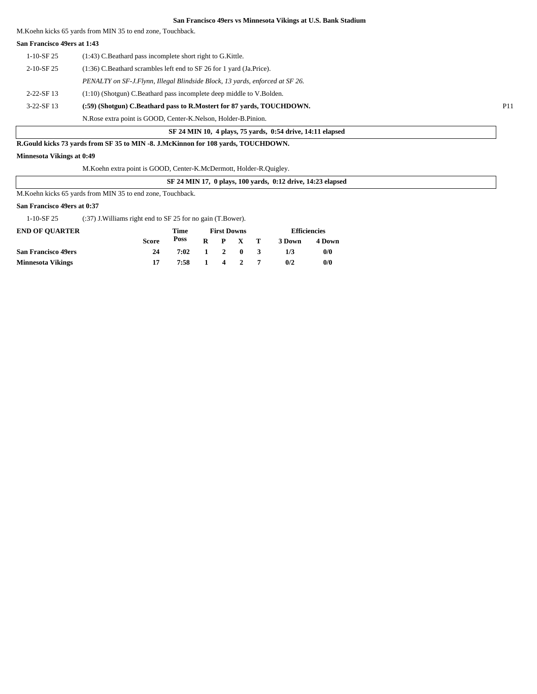M.Koehn kicks 65 yards from MIN 35 to end zone, Touchback.

#### **San Francisco 49ers at 1:43**

| $1-10-SF25$      | $(1:43)$ C. Beathard pass incomplete short right to G. Kittle.               |                 |
|------------------|------------------------------------------------------------------------------|-----------------|
| $2-10-$ SF 25    | (1:36) C.Beathard scrambles left end to SF 26 for 1 yard (Ja.Price).         |                 |
|                  | PENALTY on SF-J.Flynn, Illegal Blindside Block, 13 yards, enforced at SF 26. |                 |
| $2 - 22 - SF$ 13 | $(1:10)$ (Shotgun) C.Beathard pass incomplete deep middle to V.Bolden.       |                 |
| $3-22-SF13$      | (:59) (Shotgun) C.Beathard pass to R.Mostert for 87 vards, TOUCHDOWN.        | P <sub>11</sub> |
|                  | N. Rose extra point is GOOD, Center-K. Nelson, Holder-B. Pinion.             |                 |

 **SF 24 MIN 10, 4 plays, 75 yards, 0:54 drive, 14:11 elapsed**

#### **R.Gould kicks 73 yards from SF 35 to MIN -8. J.McKinnon for 108 yards, TOUCHDOWN.**

#### **Minnesota Vikings at 0:49**

M.Koehn extra point is GOOD, Center-K.McDermott, Holder-R.Quigley.

 **SF 24 MIN 17, 0 plays, 100 yards, 0:12 drive, 14:23 elapsed**

M.Koehn kicks 65 yards from MIN 35 to end zone, Touchback.

#### **San Francisco 49ers at 0:37**

1-10-SF 25 (:37) J.Williams right end to SF 25 for no gain (T.Bower).

| <b>END OF OUARTER</b>      |              | Time         | <b>First Downs</b> |  |                 |  | <b>Efficiencies</b> |        |  |
|----------------------------|--------------|--------------|--------------------|--|-----------------|--|---------------------|--------|--|
|                            | <b>Score</b> | Poss         |                    |  | $R$ $P$ $X$ $T$ |  | 3 Down              | 4 Down |  |
| <b>San Francisco 49ers</b> | 24           | 7:02 1 2 0 3 |                    |  |                 |  | 1/3                 | 0/0    |  |
| <b>Minnesota Vikings</b>   |              | 7:58 1 4 2 7 |                    |  |                 |  | 0/2                 | 0/0    |  |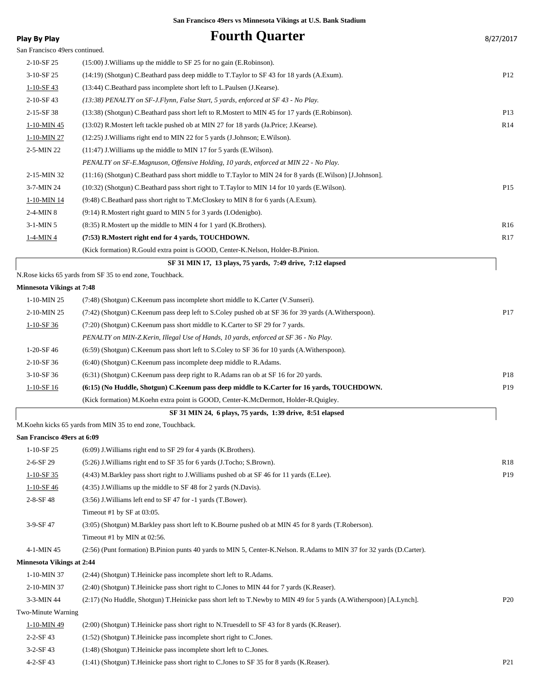| <b>Play By Play</b>              | <b>Fourth Quarter</b>                                                                                                 | 8/27/2017       |
|----------------------------------|-----------------------------------------------------------------------------------------------------------------------|-----------------|
| San Francisco 49ers continued.   |                                                                                                                       |                 |
| 2-10-SF 25                       | $(15:00)$ J. Williams up the middle to SF 25 for no gain (E. Robinson).                                               |                 |
| 3-10-SF 25                       | (14:19) (Shotgun) C.Beathard pass deep middle to T.Taylor to SF 43 for 18 yards (A.Exum).                             | P <sub>12</sub> |
| $1 - 10 - SF$ 43                 | (13:44) C.Beathard pass incomplete short left to L.Paulsen (J.Kearse).                                                |                 |
| 2-10-SF 43                       | (13:38) PENALTY on SF-J.Flynn, False Start, 5 yards, enforced at SF 43 - No Play.                                     |                 |
| 2-15-SF 38                       | (13:38) (Shotgun) C.Beathard pass short left to R.Mostert to MIN 45 for 17 yards (E.Robinson).                        | P13             |
| 1-10-MIN 45                      | (13:02) R. Mostert left tackle pushed ob at MIN 27 for 18 yards (Ja. Price; J. Kearse).                               | R14             |
| 1-10-MIN 27                      | (12:25) J. Williams right end to MIN 22 for 5 yards (J. Johnson; E. Wilson).                                          |                 |
| 2-5-MIN 22                       | $(11:47)$ J. Williams up the middle to MIN 17 for 5 yards (E. Wilson).                                                |                 |
|                                  | PENALTY on SF-E.Magnuson, Offensive Holding, 10 yards, enforced at MIN 22 - No Play.                                  |                 |
| 2-15-MIN 32                      | (11:16) (Shotgun) C.Beathard pass short middle to T.Taylor to MIN 24 for 8 yards (E.Wilson) [J.Johnson].              |                 |
| 3-7-MIN 24                       | (10:32) (Shotgun) C.Beathard pass short right to T.Taylor to MIN 14 for 10 yards (E.Wilson).                          | P15             |
| 1-10-MIN 14                      | (9:48) C.Beathard pass short right to T.McCloskey to MIN 8 for 6 yards (A.Exum).                                      |                 |
| 2-4-MIN 8                        | (9:14) R.Mostert right guard to MIN 5 for 3 yards (I.Odenigbo).                                                       |                 |
| $3-1-MIN5$                       | (8:35) R.Mostert up the middle to MIN 4 for 1 yard (K.Brothers).                                                      | R <sub>16</sub> |
| $1-4-MIN$ 4                      | (7:53) R.Mostert right end for 4 yards, TOUCHDOWN.                                                                    | R <sub>17</sub> |
|                                  | (Kick formation) R.Gould extra point is GOOD, Center-K.Nelson, Holder-B.Pinion.                                       |                 |
|                                  | SF 31 MIN 17, 13 plays, 75 yards, 7:49 drive, 7:12 elapsed                                                            |                 |
|                                  | N.Rose kicks 65 yards from SF 35 to end zone, Touchback.                                                              |                 |
| <b>Minnesota Vikings at 7:48</b> |                                                                                                                       |                 |
| 1-10-MIN 25                      | (7:48) (Shotgun) C.Keenum pass incomplete short middle to K.Carter (V.Sunseri).                                       |                 |
| 2-10-MIN 25                      | (7:42) (Shotgun) C.Keenum pass deep left to S.Coley pushed ob at SF 36 for 39 yards (A.Witherspoon).                  | P17             |
| $1-10-SF$ 36                     | (7:20) (Shotgun) C.Keenum pass short middle to K.Carter to SF 29 for 7 yards.                                         |                 |
|                                  | PENALTY on MIN-Z.Kerin, Illegal Use of Hands, 10 yards, enforced at SF 36 - No Play.                                  |                 |
| $1-20-SF46$                      | (6:59) (Shotgun) C.Keenum pass short left to S.Coley to SF 36 for 10 yards (A.Witherspoon).                           |                 |
| 2-10-SF 36                       | (6:40) (Shotgun) C.Keenum pass incomplete deep middle to R.Adams.                                                     |                 |
| 3-10-SF 36                       | (6:31) (Shotgun) C.Keenum pass deep right to R.Adams ran ob at SF 16 for 20 yards.                                    | P <sub>18</sub> |
| $1-10-SF16$                      | (6:15) (No Huddle, Shotgun) C.Keenum pass deep middle to K.Carter for 16 yards, TOUCHDOWN.                            | P <sub>19</sub> |
|                                  | (Kick formation) M. Koehn extra point is GOOD, Center-K. McDermott, Holder-R. Quigley.                                |                 |
|                                  | SF 31 MIN 24, 6 plays, 75 yards, 1:39 drive, 8:51 elapsed                                                             |                 |
|                                  | M.Koehn kicks 65 yards from MIN 35 to end zone, Touchback.                                                            |                 |
| San Francisco 49ers at 6:09      |                                                                                                                       |                 |
| $1-10-SF$ 25                     | (6:09) J. Williams right end to SF 29 for 4 yards (K. Brothers).                                                      |                 |
| 2-6-SF 29                        | (5:26) J. Williams right end to SF 35 for 6 yards (J. Tocho; S. Brown).                                               | R <sub>18</sub> |
| $1-10-SF$ 35                     | (4:43) M.Barkley pass short right to J.Williams pushed ob at SF 46 for 11 yards (E.Lee).                              | P19             |
| $1-10-SF$ 46                     | (4:35) J. Williams up the middle to SF 48 for 2 yards (N. Davis).                                                     |                 |
| $2 - 8 - SF 48$                  | (3:56) J. Williams left end to SF 47 for -1 yards (T. Bower).                                                         |                 |
|                                  | Timeout #1 by SF at 03:05.                                                                                            |                 |
| 3-9-SF 47                        | (3:05) (Shotgun) M.Barkley pass short left to K.Bourne pushed ob at MIN 45 for 8 yards (T.Roberson).                  |                 |
|                                  | Timeout #1 by MIN at 02:56.                                                                                           |                 |
| 4-1-MIN 45                       | (2:56) (Punt formation) B.Pinion punts 40 yards to MIN 5, Center-K.Nelson. R.Adams to MIN 37 for 32 yards (D.Carter). |                 |
| <b>Minnesota Vikings at 2:44</b> |                                                                                                                       |                 |
| 1-10-MIN 37                      | (2:44) (Shotgun) T. Heinicke pass incomplete short left to R. Adams.                                                  |                 |
| 2-10-MIN 37                      | (2:40) (Shotgun) T.Heinicke pass short right to C.Jones to MIN 44 for 7 yards (K.Reaser).                             |                 |
| 3-3-MIN 44                       | (2:17) (No Huddle, Shotgun) T.Heinicke pass short left to T.Newby to MIN 49 for 5 yards (A.Witherspoon) [A.Lynch].    | P <sub>20</sub> |
| Two-Minute Warning               |                                                                                                                       |                 |
| 1-10-MIN 49                      | (2:00) (Shotgun) T.Heinicke pass short right to N.Truesdell to SF 43 for 8 yards (K.Reaser).                          |                 |
| $2 - 2 - SF$ 43                  | (1:52) (Shotgun) T. Heinicke pass incomplete short right to C. Jones.                                                 |                 |
| 3-2-SF 43                        | (1:48) (Shotgun) T.Heinicke pass incomplete short left to C.Jones.                                                    |                 |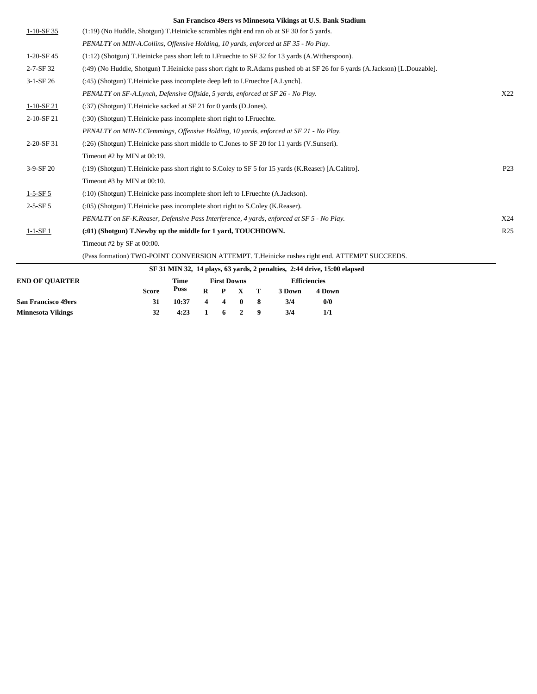|                 | San Francisco 47618 vs ivininesola Vikings at O.S. Dank Staulum                                                                |                 |
|-----------------|--------------------------------------------------------------------------------------------------------------------------------|-----------------|
| $1-10-SF35$     | $(1:19)$ (No Huddle, Shotgun) T. Heinicke scrambles right end ran ob at SF 30 for 5 yards.                                     |                 |
|                 | PENALTY on MIN-A.Collins, Offensive Holding, 10 yards, enforced at SF 35 - No Play.                                            |                 |
| $1-20-SF$ 45    | $(1:12)$ (Shotgun) T. Heinicke pass short left to I. Fruechte to SF 32 for 13 yards (A. Witherspoon).                          |                 |
| $2 - 7 - SF$ 32 | (:49) (No Huddle, Shotgun) T. Heinicke pass short right to R. Adams pushed ob at SF 26 for 6 yards (A. Jackson) [L. Douzable]. |                 |
| $3-1-SF26$      | (:45) (Shotgun) T.Heinicke pass incomplete deep left to I.Fruechte [A.Lynch].                                                  |                 |
|                 | PENALTY on SF-A.Lynch, Defensive Offside, 5 yards, enforced at SF 26 - No Play.                                                | X22             |
| $1-10-SF21$     | $(.37)$ (Shotgun) T. Heinicke sacked at SF 21 for 0 yards (D. Jones).                                                          |                 |
| 2-10-SF 21      | (:30) (Shotgun) T. Heinicke pass incomplete short right to I. Fruechte.                                                        |                 |
|                 | PENALTY on MIN-T.Clemmings, Offensive Holding, 10 yards, enforced at SF 21 - No Play.                                          |                 |
| $2-20-SF31$     | (:26) (Shotgun) T.Heinicke pass short middle to C.Jones to SF 20 for 11 yards (V.Sunseri).                                     |                 |
|                 | Timeout #2 by MIN at 00:19.                                                                                                    |                 |
| $3-9-SF20$      | (:19) (Shotgun) T. Heinicke pass short right to S. Coley to SF 5 for 15 yards (K. Reaser) [A. Calitro].                        | P <sub>23</sub> |
|                 | Timeout #3 by MIN at 00:10.                                                                                                    |                 |
| $1 - 5 - SF 5$  | (:10) (Shotgun) T. Heinicke pass incomplete short left to I. Fruechte (A. Jackson).                                            |                 |
| $2 - 5 - SF 5$  | (:05) (Shotgun) T. Heinicke pass incomplete short right to S. Coley (K. Reaser).                                               |                 |
|                 | PENALTY on SF-K.Reaser, Defensive Pass Interference, 4 yards, enforced at SF 5 - No Play.                                      | X24             |
| $1 - 1 - SF$ 1  | (:01) (Shotgun) T. Newby up the middle for 1 yard, TOUCHDOWN.                                                                  | R <sub>25</sub> |
|                 | Timeout #2 by $SF$ at 00:00.                                                                                                   |                 |
|                 |                                                                                                                                |                 |

(Pass formation) TWO-POINT CONVERSION ATTEMPT. T.Heinicke rushes right end. ATTEMPT SUCCEEDS.

| SF 31 MIN 32, 14 plays, 63 yards, 2 penalties, 2:44 drive, 15:00 elapsed |       |       |       |                    |                 |                     |        |        |  |
|--------------------------------------------------------------------------|-------|-------|-------|--------------------|-----------------|---------------------|--------|--------|--|
| <b>END OF OUARTER</b>                                                    |       |       |       | <b>First Downs</b> |                 | <b>Efficiencies</b> |        |        |  |
|                                                                          | Score | Poss  |       |                    | $R$ $P$ $X$ $T$ |                     | 3 Down | 4 Down |  |
| <b>San Francisco 49ers</b>                                               | 31    | 10:37 | 4 4 0 |                    |                 |                     | 3/4    | 0/0    |  |
| <b>Minnesota Vikings</b>                                                 | 32    | 4:23  |       | 6 2                |                 |                     | 3/4    | 1/1    |  |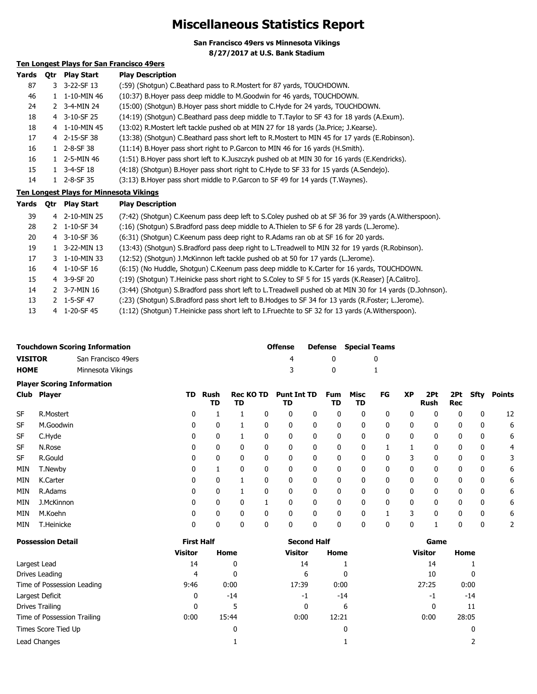### **Miscellaneous Statistics Report**

**San Francisco 49ers vs Minnesota Vikings**

**8/27/2017 at U.S. Bank Stadium**

### **Ten Longest Plays for San Francisco 49ers**

| <b>Otr</b> | <b>Play Start</b> | <b>Play Description</b>                                                                         |
|------------|-------------------|-------------------------------------------------------------------------------------------------|
|            |                   | (:59) (Shotqun) C.Beathard pass to R.Mostert for 87 yards, TOUCHDOWN.                           |
|            | 1-10-MIN 46       | (10:37) B. Hoyer pass deep middle to M. Goodwin for 46 yards, TOUCHDOWN.                        |
|            | 3-4-MIN 24        | (15:00) (Shotgun) B. Hoyer pass short middle to C. Hyde for 24 yards, TOUCHDOWN.                |
|            |                   | (14:19) (Shotqun) C.Beathard pass deep middle to T.Taylor to SF 43 for 18 yards (A.Exum).       |
|            |                   | (13:02) R. Mostert left tackle pushed ob at MIN 27 for 18 yards (Ja. Price; J. Kearse).         |
|            |                   | (13:38) (Shotgun) C.Beathard pass short left to R.Mostert to MIN 45 for 17 yards (E.Robinson).  |
|            | 2-8-SF 38         | (11:14) B. Hoyer pass short right to P. Garcon to MIN 46 for 16 yards (H. Smith).               |
|            | 2-5-MIN 46        | (1:51) B. Hoyer pass short left to K. Juszczyk pushed ob at MIN 30 for 16 yards (E. Kendricks). |
|            | 3-4-SF 18         | (4:18) (Shotgun) B. Hoyer pass short right to C. Hyde to SF 33 for 15 yards (A. Sendejo).       |
|            | 2-8-SF 35         | (3:13) B. Hoyer pass short middle to P. Garcon to SF 49 for 14 yards (T. Waynes).               |
|            |                   | 3-22-SF 13<br>3<br>4 3-10-SF 25<br>4 1-10-MIN 45<br>4 2-15-SF 38                                |

### **Ten Longest Plays for Minnesota Vikings**

| Yards | 0tr | <b>Play Start</b> | <b>Play Description</b>                                                                                  |
|-------|-----|-------------------|----------------------------------------------------------------------------------------------------------|
| 39    |     | 4 2-10-MIN 25     | (7:42) (Shotgun) C.Keenum pass deep left to S.Coley pushed ob at SF 36 for 39 yards (A.Witherspoon).     |
| 28    |     | 2 1-10-SF 34      | (:16) (Shotgun) S.Bradford pass deep middle to A.Thielen to SF 6 for 28 yards (L.Jerome).                |
| 20    |     | 4 3-10-SF 36      | (6:31) (Shotgun) C.Keenum pass deep right to R.Adams ran ob at SF 16 for 20 yards.                       |
| 19    |     | 1 3-22-MIN 13     | (13:43) (Shotgun) S.Bradford pass deep right to L.Treadwell to MIN 32 for 19 yards (R.Robinson).         |
| 17    |     | 3 1-10-MIN 33     | (12:52) (Shotgun) J.McKinnon left tackle pushed ob at 50 for 17 yards (L.Jerome).                        |
| 16    |     | 4 1-10-SF 16      | (6:15) (No Huddle, Shotgun) C.Keenum pass deep middle to K.Carter for 16 yards, TOUCHDOWN.               |
| 15    |     | 4 3-9-SF 20       | (19) (Shotgun) T.Heinicke pass short right to S.Coley to SF 5 for 15 yards (K.Reaser) [A.Calitro].       |
| 14    |     | 2 3-7-MIN 16      | (3:44) (Shotgun) S.Bradford pass short left to L.Treadwell pushed ob at MIN 30 for 14 yards (D.Johnson). |
| 13    |     | 2 1-5-SF 47       | (:23) (Shotgun) S.Bradford pass short left to B.Hodges to SF 34 for 13 yards (R.Foster; L.Jerome).       |
| 13    | 4   | 1-20-SF 45        | (1:12) (Shotgun) T.Heinicke pass short left to I.Fruechte to SF 32 for 13 yards (A.Witherspoon).         |

|             | <b>Touchdown Scoring Information</b> | <b>Offense</b> |   | <b>Defense</b> Special Teams |
|-------------|--------------------------------------|----------------|---|------------------------------|
| VISITOR     | San Francisco 49ers                  | 4              |   |                              |
| <b>HOME</b> | Minnesota Vikings                    | -3             | n |                              |
|             | <b>Player Scoring Information</b>    |                |   |                              |

| Club       | Player     | TD | Rush<br>TD   | <b>Rec KO TD</b><br>TD |          | <b>Punt Int TD</b><br>TD |   | <b>Fum</b><br>TD | Misc<br>TD   | FG | <b>XP</b> | 2Pt<br>Rush | 2Pt<br>Rec | <b>Sfty</b> | <b>Points</b> |
|------------|------------|----|--------------|------------------------|----------|--------------------------|---|------------------|--------------|----|-----------|-------------|------------|-------------|---------------|
| <b>SF</b>  | R.Mostert  | 0  |              |                        |          | 0                        | 0 | 0                | 0            | 0  | 0         | 0           | 0          | 0           | 12            |
| SF         | M.Goodwin  | 0  |              |                        |          |                          | 0 | 0                | 0            | 0  | 0         | 0           | 0          | 0           | 6             |
| SF         | C.Hyde     | 0  | 0            |                        |          |                          | 0 | 0                | 0            | 0  | 0         | 0           | 0          | 0           | 6             |
| <b>SF</b>  | N.Rose     | 0  | 0            | 0                      |          | 0                        | 0 | 0                | 0            |    |           | 0           | 0          | 0           | 4             |
| <b>SF</b>  | R.Gould    | 0  | 0            | 0                      | 0        | 0                        | 0 | 0                | $\mathbf{0}$ | 0  | 3         | 0           | 0          | 0           | 3             |
| <b>MIN</b> | T.Newby    | 0  |              | 0                      |          | 0                        | 0 | 0                | $\mathbf{0}$ | 0  | 0         | 0           | 0          | 0           | 6             |
| <b>MIN</b> | K.Carter   | 0  | $\mathbf{0}$ |                        | O        | 0                        | 0 | 0                | $\mathbf{0}$ | 0  | 0         | 0           | 0          | 0           | 6             |
| <b>MIN</b> | R.Adams    | 0  | 0            |                        | O        | 0                        | 0 | 0                | $\mathbf{0}$ | 0  | 0         | 0           | 0          | 0           | 6             |
| <b>MIN</b> | J.McKinnon | 0  | $\mathbf{0}$ | 0                      |          | 0                        | 0 | 0                | $\Omega$     | 0  | 0         | 0           | 0          | 0           | 6             |
| <b>MIN</b> | M.Koehn    | 0  | $\mathbf{0}$ | 0                      | $\Omega$ | 0                        | 0 | $\mathbf{0}$     | $\Omega$     |    | 3         | 0           | 0          | 0           | 6             |
| <b>MIN</b> | T.Heinicke | 0  | 0            | 0                      | 0        | 0                        | 0 | 0                | 0            | 0  | 0         |             | 0          | 0           |               |

| <b>Possession Detail</b>    | <b>First Half</b> |       | <b>Second Half</b> |              | Game           |       |  |  |
|-----------------------------|-------------------|-------|--------------------|--------------|----------------|-------|--|--|
|                             | <b>Visitor</b>    | Home  | <b>Visitor</b>     | Home         | <b>Visitor</b> | Home  |  |  |
| Largest Lead                | 14                | 0     | 14                 |              | 14             |       |  |  |
| Drives Leading              | 4                 | 0     | 6                  | $\mathbf{0}$ | 10             | 0     |  |  |
| Time of Possession Leading  | 9:46              | 0:00  | 17:39              | 0:00         | 27:25          | 0:00  |  |  |
| Largest Deficit             | 0                 | $-14$ | $-1$               | $-14$        | -1             | $-14$ |  |  |
| Drives Trailing             | $\mathbf{0}$      | 5     | 0                  | 6            |                | 11    |  |  |
| Time of Possession Trailing | 0:00              | 15:44 | 0:00               | 12:21        | 0:00           | 28:05 |  |  |
| Times Score Tied Up         |                   | 0     |                    | 0            |                | 0     |  |  |
| Lead Changes                |                   |       |                    |              |                |       |  |  |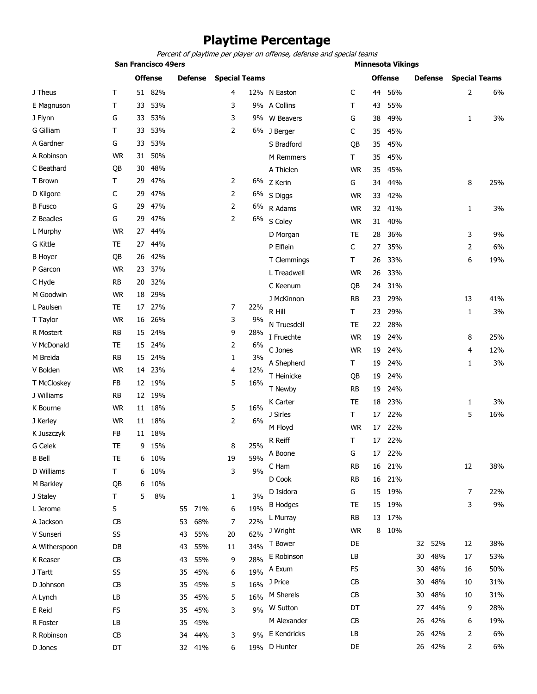### **Playtime Percentage**

*Percent of playtime per player on offense, defense and special teams*

|                 | <b>San Francisco 49ers</b> |    |                |    |                      |    | <b>Minnesota Vikings</b> |                  |                 |                |                |    |                      |                |     |
|-----------------|----------------------------|----|----------------|----|----------------------|----|--------------------------|------------------|-----------------|----------------|----------------|----|----------------------|----------------|-----|
|                 | <b>Offense</b>             |    | <b>Defense</b> |    | <b>Special Teams</b> |    |                          |                  |                 | <b>Offense</b> | <b>Defense</b> |    | <b>Special Teams</b> |                |     |
| J Theus         | Τ                          | 51 | 82%            |    |                      | 4  |                          | 12% N Easton     | C               | 44             | 56%            |    |                      | $\overline{2}$ | 6%  |
| E Magnuson      | Τ                          | 33 | 53%            |    |                      | 3  |                          | 9% A Collins     | т               | 43             | 55%            |    |                      |                |     |
| J Flynn         | G                          | 33 | 53%            |    |                      | 3  |                          | 9% W Beavers     | G               | 38             | 49%            |    |                      | 1              | 3%  |
| G Gilliam       | Τ                          | 33 | 53%            |    |                      | 2  |                          | 6% J Berger      | C               | 35             | 45%            |    |                      |                |     |
| A Gardner       | G                          | 33 | 53%            |    |                      |    |                          | S Bradford       | QB              | 35             | 45%            |    |                      |                |     |
| A Robinson      | <b>WR</b>                  | 31 | 50%            |    |                      |    |                          | <b>M</b> Remmers | т               | 35             | 45%            |    |                      |                |     |
| C Beathard      | QB                         | 30 | 48%            |    |                      |    |                          | A Thielen        | <b>WR</b>       | 35             | 45%            |    |                      |                |     |
| T Brown         | Τ                          | 29 | 47%            |    |                      | 2  |                          | 6% Z Kerin       | G               | 34             | 44%            |    |                      | 8              | 25% |
| D Kilgore       | C                          | 29 | 47%            |    |                      | 2  | 6%                       | S Diggs          | <b>WR</b>       | 33             | 42%            |    |                      |                |     |
| <b>B</b> Fusco  | G                          | 29 | 47%            |    |                      | 2  | 6%                       | R Adams          | <b>WR</b>       | 32             | 41%            |    |                      | 1              | 3%  |
| Z Beadles       | G                          | 29 | 47%            |    |                      | 2  |                          | 6% S Coley       | <b>WR</b>       | 31             | 40%            |    |                      |                |     |
| L Murphy        | <b>WR</b>                  | 27 | 44%            |    |                      |    |                          | D Morgan         | TE              | 28             | 36%            |    |                      | 3              | 9%  |
| <b>G</b> Kittle | TE                         | 27 | 44%            |    |                      |    |                          | P Elflein        | C               | 27             | 35%            |    |                      | $\overline{2}$ | 6%  |
| <b>B</b> Hoyer  | QB                         | 26 | 42%            |    |                      |    |                          | T Clemmings      | Τ               | 26             | 33%            |    |                      | 6              | 19% |
| P Garcon        | <b>WR</b>                  | 23 | 37%            |    |                      |    |                          | L Treadwell      | <b>WR</b>       | 26             | 33%            |    |                      |                |     |
| C Hyde          | <b>RB</b>                  | 20 | 32%            |    |                      |    |                          | C Keenum         |                 | 24             | 31%            |    |                      |                |     |
| M Goodwin       | <b>WR</b>                  | 18 | 29%            |    |                      |    |                          | J McKinnon       | QB<br><b>RB</b> |                |                |    |                      | 13             | 41% |
| L Paulsen       | TE                         | 17 | 27%            |    |                      | 7  | 22%                      | R Hill           |                 | 23<br>23       | 29%            |    |                      |                | 3%  |
| T Taylor        | <b>WR</b>                  | 16 | 26%            |    |                      | 3  | 9%                       |                  | Т               |                | 29%            |    |                      | 1              |     |
| R Mostert       | RB                         | 15 | 24%            |    |                      | 9  | 28%                      | N Truesdell      | <b>TE</b>       | 22             | 28%            |    |                      |                |     |
| V McDonald      | TE                         | 15 | 24%            |    |                      | 2  | 6%                       | I Fruechte       | <b>WR</b>       | 19             | 24%            |    |                      | 8              | 25% |
| M Breida        | RB                         | 15 | 24%            |    |                      | 1  | 3%                       | C Jones          | <b>WR</b>       | 19             | 24%            |    |                      | 4              | 12% |
| V Bolden        | <b>WR</b>                  | 14 | 23%            |    |                      | 4  | 12%                      | A Shepherd       | Τ               | 19             | 24%            |    |                      | 1              | 3%  |
| T McCloskey     | FB                         | 12 | 19%            |    |                      | 5  | 16%                      | T Heinicke       | QB              | 19             | 24%            |    |                      |                |     |
| J Williams      | RB                         | 12 | 19%            |    |                      |    |                          | T Newby          | RB              | 19             | 24%            |    |                      |                |     |
| K Bourne        | <b>WR</b>                  | 11 | 18%            |    |                      | 5  | 16%                      | K Carter         | TE              | 18             | 23%            |    |                      | 1              | 3%  |
| J Kerley        | <b>WR</b>                  | 11 | 18%            |    |                      | 2  | 6%                       | J Sirles         | $\mathsf T$     | 17             | 22%            |    |                      | 5              | 16% |
| K Juszczyk      | FB                         | 11 | 18%            |    |                      |    |                          | M Floyd          | <b>WR</b>       | 17             | 22%            |    |                      |                |     |
| G Celek         | <b>TE</b>                  | 9  | 15%            |    |                      | 8  | 25%                      | R Reiff          | т               | 17             | 22%            |    |                      |                |     |
| <b>B</b> Bell   | TE                         | 6  | 10%            |    |                      | 19 | 59%                      | A Boone          | G               | 17             | 22%            |    |                      |                |     |
| D Williams      | $\mathsf T$                | 6  | 10%            |    |                      | 3  | 9%                       | C Ham            | RB              | 16             | 21%            |    |                      | 12             | 38% |
| M Barkley       | QB                         | 6  | 10%            |    |                      |    |                          | D Cook           | <b>RB</b>       | 16             | 21%            |    |                      |                |     |
| J Staley        | Т                          | 5  | 8%             |    |                      | 1  | 3%                       | D Isidora        | G               | 15             | 19%            |    |                      | 7              | 22% |
| L Jerome        | S                          |    |                | 55 | 71%                  | 6  | 19%                      | <b>B</b> Hodges  | TE              | 15             | 19%            |    |                      | 3              | 9%  |
| A Jackson       | CB                         |    |                | 53 | 68%                  | 7  | 22%                      | L Murray         | <b>RB</b>       | 13             | 17%            |    |                      |                |     |
| V Sunseri       | SS                         |    |                | 43 | 55%                  | 20 | 62%                      | J Wright         | <b>WR</b>       | 8              | 10%            |    |                      |                |     |
| A Witherspoon   | DB                         |    |                | 43 | 55%                  | 11 | 34%                      | T Bower          | DE              |                |                | 32 | 52%                  | 12             | 38% |
| K Reaser        | CB                         |    |                | 43 | 55%                  | 9  | 28%                      | E Robinson       | LB              |                |                | 30 | 48%                  | 17             | 53% |
| J Tartt         | SS                         |    |                | 35 | 45%                  | 6  | 19%                      | A Exum           | <b>FS</b>       |                |                | 30 | 48%                  | 16             | 50% |
| D Johnson       | CB                         |    |                | 35 | 45%                  | 5  | 16%                      | J Price          | CB              |                |                | 30 | 48%                  | 10             | 31% |
| A Lynch         | LB                         |    |                | 35 | 45%                  | 5  | 16%                      | M Sherels        | CB              |                |                | 30 | 48%                  | 10             | 31% |
| E Reid          | FS                         |    |                | 35 | 45%                  | 3  | 9%                       | W Sutton         | DT              |                |                | 27 | 44%                  | 9              | 28% |
| R Foster        | LB                         |    |                | 35 | 45%                  |    |                          | M Alexander      | <b>CB</b>       |                |                | 26 | 42%                  | 6              | 19% |
| R Robinson      | CB                         |    |                | 34 | 44%                  | 3  | 9%                       | E Kendricks      | LB              |                |                | 26 | 42%                  | 2              | 6%  |
| D Jones         | DT                         |    |                |    | 32 41%               | 6  |                          | 19% D Hunter     | DE              |                |                |    | 26 42%               | 2              | 6%  |